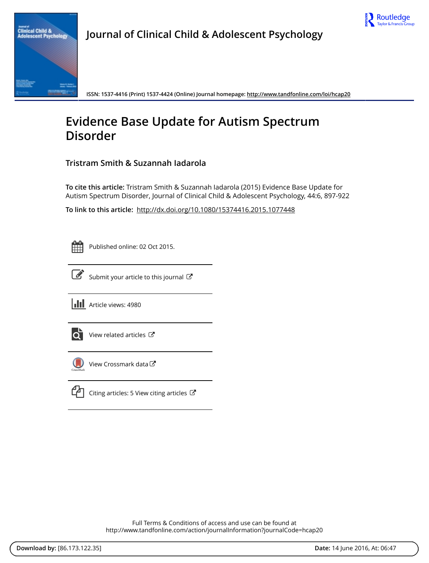



**Journal of Clinical Child & Adolescent Psychology**

**ISSN: 1537-4416 (Print) 1537-4424 (Online) Journal homepage:<http://www.tandfonline.com/loi/hcap20>**

# **Evidence Base Update for Autism Spectrum Disorder**

## **Tristram Smith & Suzannah Iadarola**

**To cite this article:** Tristram Smith & Suzannah Iadarola (2015) Evidence Base Update for Autism Spectrum Disorder, Journal of Clinical Child & Adolescent Psychology, 44:6, 897-922

**To link to this article:** <http://dx.doi.org/10.1080/15374416.2015.1077448>

Published online: 02 Oct 2015.



[Submit your article to this journal](http://www.tandfonline.com/action/authorSubmission?journalCode=hcap20&page=instructions)  $\mathbb{Z}$ 





View related articles



[View Crossmark data](http://crossmark.crossref.org/dialog/?doi=10.1080/15374416.2015.1077448&domain=pdf&date_stamp=2015-10-02)<sup>√</sup>



[Citing articles: 5 View citing articles](http://www.tandfonline.com/doi/citedby/10.1080/15374416.2015.1077448#tabModule)  $\mathbb{Z}$ 

Full Terms & Conditions of access and use can be found at <http://www.tandfonline.com/action/journalInformation?journalCode=hcap20>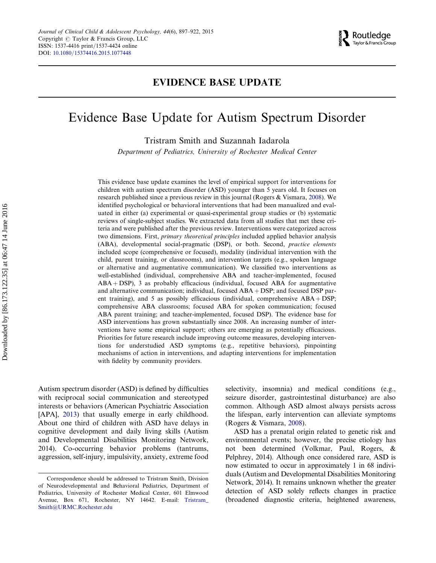

## EVIDENCE BASE UPDATE

# Evidence Base Update for Autism Spectrum Disorder

Tristram Smith and Suzannah Iadarola

Department of Pediatrics, University of Rochester Medical Center

This evidence base update examines the level of empirical support for interventions for children with autism spectrum disorder (ASD) younger than 5 years old. It focuses on research published since a previous review in this journal (Rogers & Vismara, [2008\)](#page-24-0). We identified psychological or behavioral interventions that had been manualized and evaluated in either (a) experimental or quasi-experimental group studies or (b) systematic reviews of single-subject studies. We extracted data from all studies that met these criteria and were published after the previous review. Interventions were categorized across two dimensions. First, primary theoretical principles included applied behavior analysis (ABA), developmental social-pragmatic (DSP), or both. Second, practice elements included scope (comprehensive or focused), modality (individual intervention with the child, parent training, or classrooms), and intervention targets (e.g., spoken language or alternative and augmentative communication). We classified two interventions as well-established (individual, comprehensive ABA and teacher-implemented, focused  $ABA + DSP$ ), 3 as probably efficacious (individual, focused ABA for augmentative and alternative communication; individual, focused  $ABA + DSP$ ; and focused DSP parent training), and 5 as possibly efficacious (individual, comprehensive  $ABA + DSP$ ; comprehensive ABA classrooms; focused ABA for spoken communication; focused ABA parent training; and teacher-implemented, focused DSP). The evidence base for ASD interventions has grown substantially since 2008. An increasing number of interventions have some empirical support; others are emerging as potentially efficacious. Priorities for future research include improving outcome measures, developing interventions for understudied ASD symptoms (e.g., repetitive behaviors), pinpointing mechanisms of action in interventions, and adapting interventions for implementation with fidelity by community providers.

Autism spectrum disorder (ASD) is defined by difficulties with reciprocal social communication and stereotyped interests or behaviors (American Psychiatric Association [APA], [2013\)](#page-21-0) that usually emerge in early childhood. About one third of children with ASD have delays in cognitive development and daily living skills (Autism and Developmental Disabilities Monitoring Network, 2014). Co-occurring behavior problems (tantrums, aggression, self-injury, impulsivity, anxiety, extreme food selectivity, insomnia) and medical conditions (e.g., seizure disorder, gastrointestinal disturbance) are also common. Although ASD almost always persists across the lifespan, early intervention can alleviate symptoms (Rogers & Vismara, [2008\)](#page-24-0).

ASD has a prenatal origin related to genetic risk and environmental events; however, the precise etiology has not been determined (Volkmar, Paul, Rogers, & Pelphrey, 2014). Although once considered rare, ASD is now estimated to occur in approximately 1 in 68 individuals (Autism and Developmental Disabilities Monitoring Network, 2014). It remains unknown whether the greater detection of ASD solely reflects changes in practice (broadened diagnostic criteria, heightened awareness,

Correspondence should be addressed to Tristram Smith, Division of Neurodevelopmental and Behavioral Pediatrics, Department of Pediatrics, University of Rochester Medical Center, 601 Elmwood Avenue, Box 671, Rochester, NY 14642. E-mail: [Tristram\\_](mailto:Tristram_Smith@URMC.Rochester.edu) [Smith@URMC.Rochester.edu](mailto:Tristram_Smith@URMC.Rochester.edu)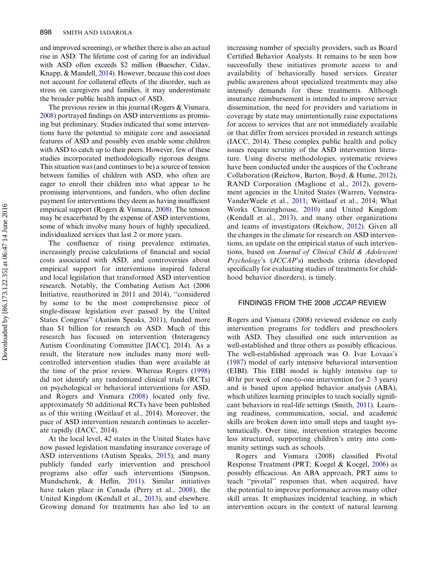and improved screening), or whether there is also an actual rise in ASD. The lifetime cost of caring for an individual with ASD often exceeds \$2 million (Buescher, Cidav, Knapp, & Mandell, [2014\)](#page-21-0). However, because this cost does not account for collateral effects of the disorder, such as stress on caregivers and families, it may underestimate the broader public health impact of ASD.

The previous review in this journal (Rogers & Vismara, [2008](#page-24-0)) portrayed findings on ASD interventions as promising but preliminary. Studies indicated that some interventions have the potential to mitigate core and associated features of ASD and possibly even enable some children with ASD to catch up to their peers. However, few of these studies incorporated methodologically rigorous designs. This situation was (and continues to be) a source of tension between families of children with ASD, who often are eager to enroll their children into what appear to be promising interventions, and funders, who often decline payment for interventions they deem as having insufficient empirical support (Rogers & Vismara, [2008\)](#page-24-0). The tension may be exacerbated by the expense of ASD interventions, some of which involve many hours of highly specialized, individualized services that last 2 or more years.

The confluence of rising prevalence estimates, increasingly precise calculations of financial and social costs associated with ASD, and controversies about empirical support for interventions inspired federal and local legislation that transformed ASD intervention research. Notably, the Combating Autism Act (2006 Initiative, reauthorized in 2011 and 2014), ''considered by some to be the most comprehensive piece of single-disease legislation ever passed by the United States Congress'' (Autism Speaks, [2011](#page-21-0)), funded more than \$1 billion for research on ASD. Much of this research has focused on intervention (Interagency Autism Coordinating Committee [IACC], 2014). As a result, the literature now includes many more wellcontrolled intervention studies than were available at the time of the prior review. Whereas Rogers ([1998\)](#page-24-0) did not identify any randomized clinical trials (RCTs) on psychological or behavioral interventions for ASD, and Rogers and Vismara ([2008](#page-24-0)) located only five, approximately 50 additional RCTs have been published as of this writing (Weitlauf et al., 2014). Moreover, the pace of ASD intervention research continues to accelerate rapidly (IACC, 2014).

At the local level, 42 states in the United States have now passed legislation mandating insurance coverage of ASD interventions (Autism Speaks, [2015\)](#page-21-0), and many publicly funded early intervention and preschool programs also offer such interventions (Simpson, Mundschenk, & Heflin, [2011\)](#page-21-0). Similar initiatives have taken place in Canada (Perry et al., [2008\)](#page-24-0), the United Kingdom (Kendall et al., [2013\)](#page-23-0), and elsewhere. Growing demand for treatments has also led to an

increasing number of specialty providers, such as Board Certified Behavior Analysts. It remains to be seen how successfully these initiatives promote access to and availability of behaviorally based services. Greater public awareness about specialized treatments may also intensify demands for these treatments. Although insurance reimbursement is intended to improve service dissemination, the need for providers and variations in coverage by state may unintentionally raise expectations for access to services that are not immediately available or that differ from services provided in research settings (IACC, 2014). These complex public health and policy issues require scrutiny of the ASD intervention literature. Using diverse methodologies, systematic reviews have been conducted under the auspices of the Cochrane Collaboration (Reichow, Barton, Boyd, & Hume, [2012](#page-24-0)), RAND Corporation (Maglione et al., [2012\)](#page-23-0), government agencies in the United States (Warren, Veenstra-VanderWeele et al., [2011;](#page-25-0) Weitlauf et al., 2014; What Works Clearinghouse, [2010](#page-26-0)) and United Kingdom (Kendall et al., [2013](#page-23-0)), and many other organizations and teams of investigators (Reichow, [2012](#page-24-0)). Given all the changes in the climate for research on ASD interventions, an update on the empirical status of such interventions, based on Journal of Clinical Child & Adolescent Psychology's (JCCAP's) methods criteria (developed specifically for evaluating studies of treatments for childhood behavior disorders), is timely.

## FINDINGS FROM THE 2008 JCCAP REVIEW

Rogers and Vismara (2008) reviewed evidence on early intervention programs for toddlers and preschoolers with ASD. They classified one such intervention as well-established and three others as possibly efficacious. The well-established approach was O. Ivar Lovaas's [\(1987](#page-23-0)) model of early intensive behavioral intervention (EIBI). This EIBI model is highly intensive (up to 40 hr per week of one-to-one intervention for 2–3 years) and is based upon applied behavior analysis (ABA), which utilizes learning principles to teach socially significant behaviors in real-life settings (Smith, [2011](#page-25-0)). Learning readiness, communication, social, and academic skills are broken down into small steps and taught systematically. Over time, intervention strategies become less structured, supporting children's entry into community settings such as schools.

Rogers and Vismara (2008) classified Pivotal Response Treatment (PRT; Koegel & Koegel, [2006](#page-23-0)) as possibly efficacious. An ABA approach, PRT aims to teach ''pivotal'' responses that, when acquired, have the potential to improve performance across many other skill areas. It emphasizes incidental teaching, in which intervention occurs in the context of natural learning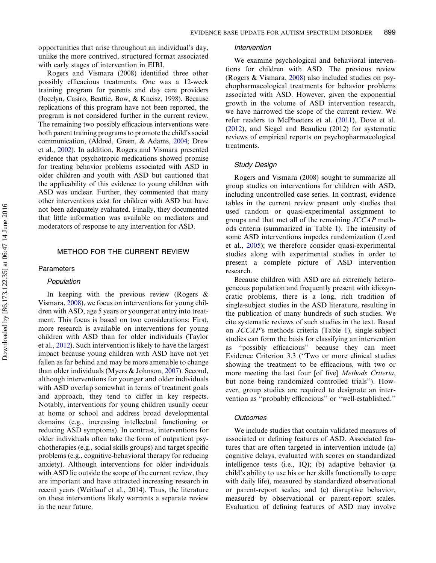opportunities that arise throughout an individual's day, unlike the more contrived, structured format associated with early stages of intervention in EIBI.

Rogers and Vismara (2008) identified three other possibly efficacious treatments. One was a 12-week training program for parents and day care providers (Jocelyn, Casiro, Beattie, Bow, & Kneisz, 1998). Because replications of this program have not been reported, the program is not considered further in the current review. The remaining two possibly efficacious interventions were both parent training programs to promote the child's social communication, (Aldred, Green, & Adams, [2004](#page-21-0); Drew et al., [2002](#page-21-0)). In addition, Rogers and Vismara presented evidence that psychotropic medications showed promise for treating behavior problems associated with ASD in older children and youth with ASD but cautioned that the applicability of this evidence to young children with ASD was unclear. Further, they commented that many other interventions exist for children with ASD but have not been adequately evaluated. Finally, they documented that little information was available on mediators and moderators of response to any intervention for ASD.

## METHOD FOR THE CURRENT REVIEW

#### Parameters

#### Population

In keeping with the previous review (Rogers & Vismara, [2008\)](#page-24-0), we focus on interventions for young children with ASD, age 5 years or younger at entry into treatment. This focus is based on two considerations: First, more research is available on interventions for young children with ASD than for older individuals (Taylor et al., [2012\)](#page-25-0). Such intervention is likely to have the largest impact because young children with ASD have not yet fallen as far behind and may be more amenable to change than older individuals (Myers & Johnson, [2007](#page-24-0)). Second, although interventions for younger and older individuals with ASD overlap somewhat in terms of treatment goals and approach, they tend to differ in key respects. Notably, interventions for young children usually occur at home or school and address broad developmental domains (e.g., increasing intellectual functioning or reducing ASD symptoms). In contrast, interventions for older individuals often take the form of outpatient psychotherapies (e.g., social skills groups) and target specific problems (e.g., cognitive-behavioral therapy for reducing anxiety). Although interventions for older individuals with ASD lie outside the scope of the current review, they are important and have attracted increasing research in recent years (Weitlauf et al., 2014). Thus, the literature on these interventions likely warrants a separate review in the near future.

#### Intervention

We examine psychological and behavioral interventions for children with ASD. The previous review (Rogers & Vismara, [2008\)](#page-24-0) also included studies on psychopharmacological treatments for behavior problems associated with ASD. However, given the exponential growth in the volume of ASD intervention research, we have narrowed the scope of the current review. We refer readers to McPheeters et al. ([2011\)](#page-24-0), Dove et al. [\(2012](#page-21-0)), and Siegel and Beaulieu (2012) for systematic reviews of empirical reports on psychopharmacological treatments.

#### Study Design

Rogers and Vismara (2008) sought to summarize all group studies on interventions for children with ASD, including uncontrolled case series. In contrast, evidence tables in the current review present only studies that used random or quasi-experimental assignment to groups and that met all of the remaining JCCAP methods criteria (summarized in Table [1](#page-4-0)). The intensity of some ASD interventions impedes randomization (Lord et al., [2005](#page-23-0)); we therefore consider quasi-experimental studies along with experimental studies in order to present a complete picture of ASD intervention research.

Because children with ASD are an extremely heterogeneous population and frequently present with idiosyncratic problems, there is a long, rich tradition of single-subject studies in the ASD literature, resulting in the publication of many hundreds of such studies. We cite systematic reviews of such studies in the text. Based on JCCAP's methods criteria (Table [1](#page-4-0)), single-subject studies can form the basis for classifying an intervention as ''possibly efficacious'' because they can meet Evidence Criterion 3.3 (''Two or more clinical studies showing the treatment to be efficacious, with two or more meeting the last four [of five] *Methods Criteria*, but none being randomized controlled trials''). However, group studies are required to designate an intervention as ''probably efficacious'' or ''well-established.''

#### **Outcomes**

We include studies that contain validated measures of associated or defining features of ASD. Associated features that are often targeted in intervention include (a) cognitive delays, evaluated with scores on standardized intelligence tests (i.e., IQ); (b) adaptive behavior (a child's ability to use his or her skills functionally to cope with daily life), measured by standardized observational or parent-report scales; and (c) disruptive behavior, measured by observational or parent-report scales. Evaluation of defining features of ASD may involve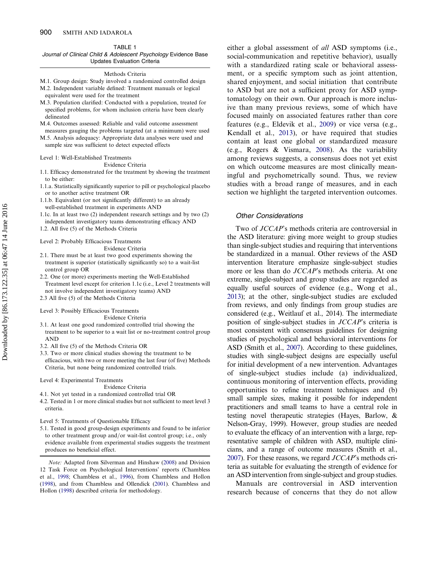#### TABLE 1

<span id="page-4-0"></span>Journal of Clinical Child & Adolescent Psychology Evidence Base Updates Evaluation Criteria

#### Methods Criteria

M.1. Group design: Study involved a randomized controlled design M.2. Independent variable defined: Treatment manuals or logical

- equivalent were used for the treatment
- M.3. Population clarified: Conducted with a population, treated for specified problems, for whom inclusion criteria have been clearly delineated
- M.4. Outcomes assessed: Reliable and valid outcome assessment measures gauging the problems targeted (at a minimum) were used
- M.5. Analysis adequacy: Appropriate data analyses were used and sample size was sufficient to detect expected effects

#### Level 1: Well-Established Treatments

Evidence Criteria

- 1.1. Efficacy demonstrated for the treatment by showing the treatment to be either:
- 1.1.a. Statistically significantly superior to pill or psychological placebo or to another active treatment OR
- 1.1.b. Equivalent (or not significantly different) to an already well-established treatment in experiments AND
- 1.1c. In at least two (2) independent research settings and by two (2) independent investigatory teams demonstrating efficacy AND
- 1.2. All five (5) of the Methods Criteria

#### Level 2: Probably Efficacious Treatments

Evidence Criteria

- 2.1. There must be at least two good experiments showing the treatment is superior (statistically significantly so) to a wait-list control group OR
- 2.2. One (or more) experiments meeting the Well-Established Treatment level except for criterion 1.1c (i.e., Level 2 treatments will not involve independent investigatory teams) AND

2.3 All five (5) of the Methods Criteria

Level 3: Possibly Efficacious Treatments

Evidence Criteria

3.1. At least one good randomized controlled trial showing the treatment to be superior to a wait list or no-treatment control group AND

3.2. All five (5) of the Methods Criteria OR

3.3. Two or more clinical studies showing the treatment to be efficacious, with two or more meeting the last four (of five) Methods Criteria, but none being randomized controlled trials.

Level 4: Experimental Treatments

Evidence Criteria 4.1. Not yet tested in a randomized controlled trial OR

4.2. Tested in 1 or more clinical studies but not sufficient to meet level 3 criteria.

#### Level 5: Treatments of Questionable Efficacy

5.1. Tested in good group-design experiments and found to be inferior to other treatment group and/or wait-list control group; i.e., only evidence available from experimental studies suggests the treatment produces no beneficial effect.

either a global assessment of all ASD symptoms (i.e., social-communication and repetitive behavior), usually with a standardized rating scale or behavioral assessment, or a specific symptom such as joint attention, shared enjoyment, and social initiation that contribute to ASD but are not a sufficient proxy for ASD symptomatology on their own. Our approach is more inclusive than many previous reviews, some of which have focused mainly on associated features rather than core features (e.g., Eldevik et al., [2009\)](#page-22-0) or vice versa (e.g., Kendall et al., [2013\)](#page-23-0), or have required that studies contain at least one global or standardized measure (e.g., Rogers & Vismara, [2008\)](#page-24-0). As the variability among reviews suggests, a consensus does not yet exist on which outcome measures are most clinically meaningful and psychometrically sound. Thus, we review studies with a broad range of measures, and in each section we highlight the targeted intervention outcomes.

## Other Considerations

Two of JCCAP's methods criteria are controversial in the ASD literature: giving more weight to group studies than single-subject studies and requiring that interventions be standardized in a manual. Other reviews of the ASD intervention literature emphasize single-subject studies more or less than do JCCAP's methods criteria. At one extreme, single-subject and group studies are regarded as equally useful sources of evidence (e.g., Wong et al., [2013](#page-26-0)); at the other, single-subject studies are excluded from reviews, and only findings from group studies are considered (e.g., Weitlauf et al., 2014). The intermediate position of single-subject studies in JCCAP's criteria is most consistent with consensus guidelines for designing studies of psychological and behavioral interventions for ASD (Smith et al., [2007\)](#page-25-0). According to these guidelines, studies with single-subject designs are especially useful for initial development of a new intervention. Advantages of single-subject studies include (a) individualized, continuous monitoring of intervention effects, providing opportunities to refine treatment techniques and (b) small sample sizes, making it possible for independent practitioners and small teams to have a central role in testing novel therapeutic strategies (Hayes, Barlow, & Nelson-Gray, 1999). However, group studies are needed to evaluate the efficacy of an intervention with a large, representative sample of children with ASD, multiple clinicians, and a range of outcome measures (Smith et al., [2007](#page-25-0)). For these reasons, we regard JCCAP's methods criteria as suitable for evaluating the strength of evidence for an ASD intervention from single-subject and group studies.

Manuals are controversial in ASD intervention research because of concerns that they do not allow

Note: Adapted from Silverman and Hinshaw [\(2008](#page-25-0)) and Division 12 Task Force on Psychological Interventions' reports (Chambless et al., [1998;](#page-21-0) Chambless et al., [1996](#page-21-0)), from Chambless and Hollon ([1998\)](#page-21-0), and from Chambless and Ollendick [\(2001](#page-21-0)). Chambless and Hollon [\(1998](#page-21-0)) described criteria for methodology.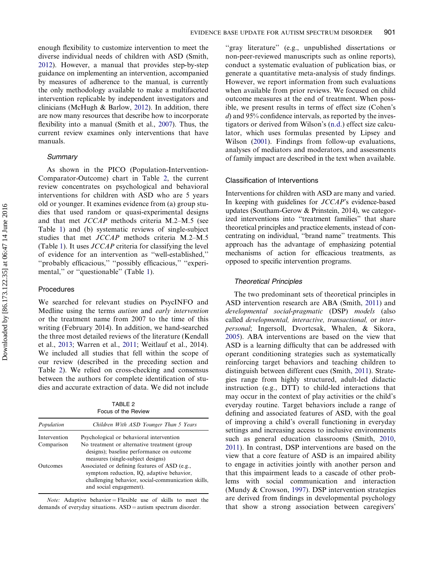enough flexibility to customize intervention to meet the diverse individual needs of children with ASD (Smith, [2012\)](#page-25-0). However, a manual that provides step-by-step guidance on implementing an intervention, accompanied by measures of adherence to the manual, is currently the only methodology available to make a multifaceted intervention replicable by independent investigators and clinicians (McHugh & Barlow, [2012](#page-24-0)). In addition, there are now many resources that describe how to incorporate flexibility into a manual (Smith et al., [2007](#page-25-0)). Thus, the current review examines only interventions that have manuals.

#### **Summary**

As shown in the PICO (Population-Intervention-Comparator-Outcome) chart in Table 2, the current review concentrates on psychological and behavioral interventions for children with ASD who are 5 years old or younger. It examines evidence from (a) group studies that used random or quasi-experimental designs and that met JCCAP methods criteria M.2–M.5 (see Table [1](#page-4-0)) and (b) systematic reviews of single-subject studies that met JCCAP methods criteria M.2–M.5 (Table [1\)](#page-4-0). It uses  $JCCAP$  criteria for classifying the level of evidence for an intervention as ''well-established,'' ''probably efficacious,'' ''possibly efficacious,'' ''experi-mental," or "questionable" (Table [1\)](#page-4-0).

## Procedures

We searched for relevant studies on PsycINFO and Medline using the terms autism and early intervention or the treatment name from 2007 to the time of this writing (February 2014). In addition, we hand-searched the three most detailed reviews of the literature (Kendall et al., [2013;](#page-23-0) Warren et al., [2011](#page-26-0); Weitlauf et al., 2014). We included all studies that fell within the scope of our review (described in the preceding section and Table 2). We relied on cross-checking and consensus between the authors for complete identification of studies and accurate extraction of data. We did not include

|              | TABI F 2<br>Focus of the Review                                                                                                                                             |
|--------------|-----------------------------------------------------------------------------------------------------------------------------------------------------------------------------|
| Population   | Children With ASD Younger Than 5 Years                                                                                                                                      |
| Intervention | Psychological or behavioral intervention                                                                                                                                    |
| Comparison   | No treatment or alternative treatment (group)<br>designs); baseline performance on outcome<br>measures (single-subject designs)                                             |
| Outcomes     | Associated or defining features of ASD (e.g.,<br>symptom reduction, IQ, adaptive behavior,<br>challenging behavior, social-communication skills,<br>and social engagement). |

*Note:* Adaptive behavior = Flexible use of skills to meet the demands of everyday situations.  $ASD =$  autism spectrum disorder.

"gray literature" (e.g., unpublished dissertations or non-peer-reviewed manuscripts such as online reports), conduct a systematic evaluation of publication bias, or generate a quantitative meta-analysis of study findings. However, we report information from such evaluations when available from prior reviews. We focused on child outcome measures at the end of treatment. When possible, we present results in terms of effect size (Cohen's d) and 95% confidence intervals, as reported by the investigators or derived from Wilson's [\(n.d.\)](#page-26-0) effect size calculator, which uses formulas presented by Lipsey and Wilson [\(2001](#page-23-0)). Findings from follow-up evaluations, analyses of mediators and moderators, and assessments of family impact are described in the text when available.

#### Classification of Interventions

Interventions for children with ASD are many and varied. In keeping with guidelines for JCCAP's evidence-based updates (Southam-Gerow & Prinstein, 2014), we categorized interventions into "treatment families" that share theoretical principles and practice elements, instead of concentrating on individual, ''brand name'' treatments. This approach has the advantage of emphasizing potential mechanisms of action for efficacious treatments, as opposed to specific intervention programs.

#### Theoretical Principles

The two predominant sets of theoretical principles in ASD intervention research are ABA (Smith, [2011\)](#page-25-0) and developmental social-pragmatic (DSP) models (also called developmental, interactive, transactional, or interpersonal; Ingersoll, Dvortcsak, Whalen, & Sikora, [2005\)](#page-22-0). ABA interventions are based on the view that ASD is a learning difficulty that can be addressed with operant conditioning strategies such as systematically reinforcing target behaviors and teaching children to distinguish between different cues (Smith, [2011](#page-25-0)). Strategies range from highly structured, adult-led didactic instruction (e.g., DTT) to child-led interactions that may occur in the context of play activities or the child's everyday routine. Target behaviors include a range of defining and associated features of ASD, with the goal of improving a child's overall functioning in everyday settings and increasing access to inclusive environments such as general education classrooms (Smith, [2010](#page-25-0), [2011\)](#page-25-0). In contrast, DSP interventions are based on the view that a core feature of ASD is an impaired ability to engage in activities jointly with another person and that this impairment leads to a cascade of other problems with social communication and interaction (Mundy & Crowson, [1997\)](#page-24-0). DSP intervention strategies are derived from findings in developmental psychology that show a strong association between caregivers'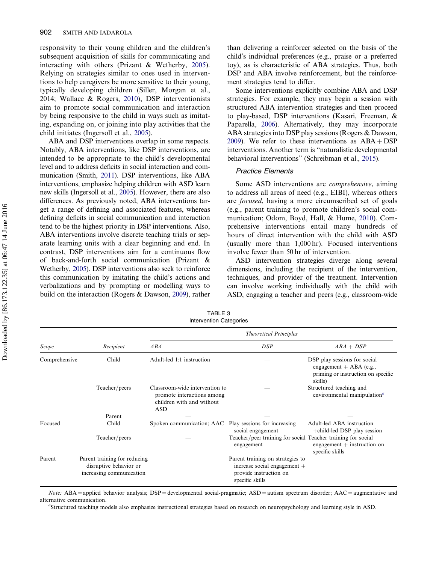<span id="page-6-0"></span>responsivity to their young children and the children's subsequent acquisition of skills for communicating and interacting with others (Prizant & Wetherby, [2005](#page-24-0)). Relying on strategies similar to ones used in interventions to help caregivers be more sensitive to their young, typically developing children (Siller, Morgan et al., 2014; Wallace & Rogers, [2010\)](#page-26-0), DSP interventionists aim to promote social communication and interaction by being responsive to the child in ways such as imitating, expanding on, or joining into play activities that the child initiates (Ingersoll et al., [2005](#page-22-0)).

ABA and DSP interventions overlap in some respects. Notably, ABA interventions, like DSP interventions, are intended to be appropriate to the child's developmental level and to address deficits in social interaction and communication (Smith, [2011\)](#page-25-0). DSP interventions, like ABA interventions, emphasize helping children with ASD learn new skills (Ingersoll et al., [2005](#page-22-0)). However, there are also differences. As previously noted, ABA interventions target a range of defining and associated features, whereas defining deficits in social communication and interaction tend to be the highest priority in DSP interventions. Also, ABA interventions involve discrete teaching trials or separate learning units with a clear beginning and end. In contrast, DSP interventions aim for a continuous flow of back-and-forth social communication (Prizant & Wetherby, [2005](#page-24-0)). DSP interventions also seek to reinforce this communication by imitating the child's actions and verbalizations and by prompting or modelling ways to build on the interaction (Rogers & Dawson, [2009](#page-24-0)), rather than delivering a reinforcer selected on the basis of the child's individual preferences (e.g., praise or a preferred toy), as is characteristic of ABA strategies. Thus, both DSP and ABA involve reinforcement, but the reinforcement strategies tend to differ.

Some interventions explicitly combine ABA and DSP strategies. For example, they may begin a session with structured ABA intervention strategies and then proceed to play-based, DSP interventions (Kasari, Freeman, & Paparella, [2006](#page-23-0)). Alternatively, they may incorporate ABA strategies into DSP play sessions (Rogers & Dawson, [2009](#page-24-0)). We refer to these interventions as  $ABA + DSP$ interventions. Another term is ''naturalistic developmental behavioral interventions'' (Schreibman et al., [2015\)](#page-24-0).

## Practice Elements

Some ASD interventions are comprehensive, aiming to address all areas of need (e.g., EIBI), whereas others are focused, having a more circumscribed set of goals (e.g., parent training to promote children's social communication; Odom, Boyd, Hall, & Hume, [2010](#page-24-0)). Comprehensive interventions entail many hundreds of hours of direct intervention with the child with ASD (usually more than 1,000 hr). Focused interventions involve fewer than 50 hr of intervention.

ASD intervention strategies diverge along several dimensions, including the recipient of the intervention, techniques, and provider of the treatment. Intervention can involve working individually with the child with ASD, engaging a teacher and peers (e.g., classroom-wide

Scope Recipient Theoretical Principles  $ABA$   $DBP$   $ABA + DSP$ Comprehensive Child Adult-led 1:1 instruction — DSP play sessions for social engagement + ABA (e.g., priming or instruction on specific skills) Teacher/peers Classroom-wide intervention to promote interactions among children with and without ASD Structured teaching and environmental manipulation $a$ Parent  $-$ Focused Child Spoken communication; AAC Play sessions for increasing social engagement Adult-led ABA instruction +child-led DSP play session Teacher/peers — Teacher/peer training for social Teacher training for social engagement engagement  $+$  instruction on specific skills Parent Parent training for reducing disruptive behavior or increasing communication Parent training on strategies to increase social engagement + provide instruction on specific skills

TABLE 3 Intervention Categories

Note: ABA = applied behavior analysis;  $DSP =$  developmental social-pragmatic;  $ASD =$  autism spectrum disorder;  $AAC =$  augmentative and alternative communication.

Structured teaching models also emphasize instructional strategies based on research on neuropsychology and learning style in ASD.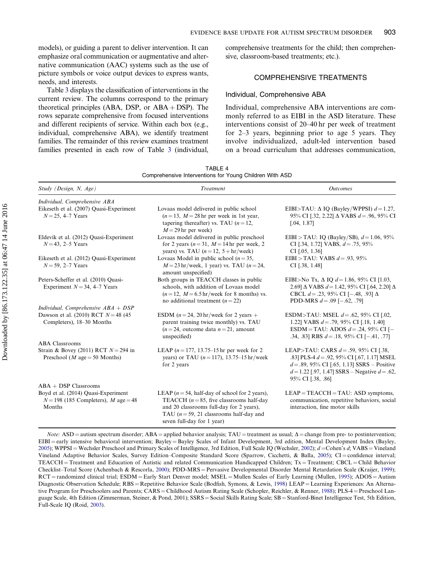<span id="page-7-0"></span>models), or guiding a parent to deliver intervention. It can emphasize oral communication or augmentative and alternative communication (AAC) systems such as the use of picture symbols or voice output devices to express wants, needs, and interests.

Table [3](#page-6-0) displays the classification of interventions in the current review. The columns correspond to the primary theoretical principles (ABA, DSP, or  $ABA + DSP$ ). The rows separate comprehensive from focused interventions and different recipients of service. Within each box (e.g., individual, comprehensive ABA), we identify treatment families. The remainder of this review examines treatment families presented in each row of Table [3](#page-6-0) (individual, comprehensive treatments for the child; then comprehensive, classroom-based treatments; etc.).

## COMPREHENSIVE TREATMENTS

#### Individual, Comprehensive ABA

Individual, comprehensive ABA interventions are commonly referred to as EIBI in the ASD literature. These interventions consist of 20–40 hr per week of treatment for 2–3 years, beginning prior to age 5 years. They involve individualized, adult-led intervention based on a broad curriculum that addresses communication,

| TABLE 4                                                 |  |  |  |  |  |  |
|---------------------------------------------------------|--|--|--|--|--|--|
| Comprehensive Interventions for Young Children With ASD |  |  |  |  |  |  |

| Study (Design, N. Age)                                                                | Treatment                                                                                                                                                                                                                   | <b>Outcomes</b>                                                                                                                                                                                                        |  |  |
|---------------------------------------------------------------------------------------|-----------------------------------------------------------------------------------------------------------------------------------------------------------------------------------------------------------------------------|------------------------------------------------------------------------------------------------------------------------------------------------------------------------------------------------------------------------|--|--|
| Individual, Comprehensive ABA                                                         |                                                                                                                                                                                                                             |                                                                                                                                                                                                                        |  |  |
| Eikeseth et al. (2007) Quasi-Experiment<br>$N = 25, 4 - 7$ Years                      | Lovaas model delivered in public school<br>$(n=13, M=28$ hr per week in 1st year,<br>tapering thereafter) vs. TAU $(n=12,$<br>$M = 29$ hr per week)                                                                         | EIBI>TAU: $\Delta$ IQ (Bayley/WPPSI) $d = 1.27$ ,<br>95% CI [.32, 2.22] $\Delta$ VABS $d = .96$ , 95% CI<br>[.04, 1.87]                                                                                                |  |  |
| Eldevik et al. (2012) Quasi-Experiment<br>$N = 43$ , 2–5 Years                        | Lovaas model delivered in public preschool<br>for 2 years ( $n = 31$ , $M = 14$ hr per week, 2<br>years) vs. TAU $(n=12, 5 + hr/weck)$                                                                                      | EIBI > TAU: IQ (Bayley/SB), $d = 1.06$ , 95%<br>CI [.34, 1.72] VABS, $d = .75$ , 95%<br>$CI$ [.05, 1.36]                                                                                                               |  |  |
| Eikeseth et al. (2012) Quasi-Experiment<br>$N = 59$ , 2–7 Years                       | Lovaas Model in public school ( $n = 35$ ,<br>$M = 23$ hr/week, 1 year) vs. TAU ( $n = 24$ ,<br>amount unspecified)                                                                                                         | EIBI > TAU: VABS $d = .93, 95\%$<br>$CI$ [.38, 1.48]                                                                                                                                                                   |  |  |
| Peters-Scheffer et al. (2010) Quasi-<br>Experiment $N = 34, 4-7$ Years                | Both groups in TEACCH classes in public<br>schools, with addition of Lovaas model<br>$(n=12, M=6.5 \text{ hr}/\text{week}$ for 8 months) vs.<br>no additional treatment $(n=22)$                                            | EIBI>No Tx, $\Delta$ IQ $d = 1.86$ , 95% CI [1.03,<br>2.69] $\triangle$ VABS $d = 1.42$ , 95% CI [.64, 2.20] $\triangle$<br>CBCL $d = .23, 95\%$ CI [-.48, .93] $\Delta$<br>PDD-MRS $d = .09$ [-.62, .79]              |  |  |
| Individual, Comprehensive $ABA + DSP$                                                 |                                                                                                                                                                                                                             |                                                                                                                                                                                                                        |  |  |
| Dawson et al. (2010) RCT $N = 48$ (45)<br>Completers), 18–30 Months                   | ESDM ( $n = 24$ , 20 hr/week for 2 years +<br>parent training twice monthly) vs. TAU<br>$(n=24,$ outcome data $n=21$ , amount<br>unspecified)                                                                               | ESDM>TAU: MSEL $d = .62, 95\%$ CI [.02,<br>1.22] VABS $d = .79$ , 95% CI [.18, 1.40]<br>ESDM = TAU: ADOS $d = .24$ , 95% CI [-<br>.34, .83] RBS $d = .18$ , 95% CI [-.41, .77]                                         |  |  |
| <b>ABA Classrooms</b>                                                                 |                                                                                                                                                                                                                             |                                                                                                                                                                                                                        |  |  |
| Strain & Bovey (2011) RCT $N = 294$ in<br>Preschool ( <i>M</i> age = 50 Months)       | LEAP ( $n = 177$ , 13.75–15 hr per week for 2<br>years) or TAU $(n = 117)$ , 13.75–15 hr/week<br>for 2 years                                                                                                                | LEAP>TAU: CARS $d = .59, 95\%$ CI [.38,<br>.83] PLS-4 $d = .92$ , 95% CI [.67, 1.17] MSEL<br>$d = .89, 95\%$ CI [.65, 1.13] SSRS – Positive<br>$d = 1.22$ [.97, 1.47] SSRS – Negative $d = .62$ ,<br>95% CI [.38, .86] |  |  |
| $ABA + DSP$ Classrooms                                                                |                                                                                                                                                                                                                             |                                                                                                                                                                                                                        |  |  |
| Boyd et al. (2014) Quasi-Experiment<br>$N=198$ (185 Completers), M age = 48<br>Months | LEAP ( $n = 54$ , half-day of school for 2 years),<br>TEACCH ( $n = 85$ , five classrooms half-day<br>and 20 classrooms full-day for 2 years),<br>TAU ( $n = 59$ , 21 classrooms half-day and<br>seven full-day for 1 year) | $LEAP = TEACCH = TAU$ : ASD symptoms,<br>communication, repetitive behaviors, social<br>interaction, fine motor skills                                                                                                 |  |  |

*Note:* ASD = autism spectrum disorder; ABA = applied behavior analysis; TAU = treatment as usual;  $\Delta$  = change from pre- to postintervention; EIBI = early intensive behavioral intervention; Bayley = Bayley Scales of Infant Development, 3rd edition, Mental Development Index (Bayley, [2005\)](#page-21-0); WPPSI = Wechsler Preschool and Primary Scales of Intelligence, 3rd Edition, Full Scale IQ (Wechsler, [2002\)](#page-26-0);  $d$  = Cohen's  $d$ ; VABS = Vineland Vineland Adaptive Behavior Scales, Survey Edition–Composite Standard Score (Sparrow, Cicchetti, & Balla, [2005](#page-25-0)); CI=confidence interval;  $TEACCH = Treatment$ ; and Education of Autistic and related Communication Handicapped Children;  $Tx = Treatment$ ; CBCL = Child Behavior Checklist–Total Score (Achenbach & Rescorla, [2000\)](#page-21-0); PDD-MRS = Pervasive Developmental Disorder Mental Retardation Scale (Kraijer, [1999](#page-23-0));  $RCT =$ randomized clinical trial;  $ESDM =$  Early Start Denver model; MSEL = Mullen Scales of Early Learning (Mullen, [1995](#page-24-0)); ADOS = Autism Diagnostic Observation Schedule; RBS = Repetitive Behavior Scale (Bodfish, Symons, & Lewis, [1998\)](#page-21-0) LEAP = Learning Experiences: An Alterna-tive Program for Preschoolers and Parents; CARS = Childhood Autism Rating Scale (Schopler, Reichler, & Renner, [1988](#page-24-0)); PLS-4 = Preschool Language Scale, 4th Edition (Zimmerman, Steiner, & Pond, 2001); SSRS = Social Skills Rating Scale; SB = Stanford-Binet Intelligence Test, 5th Edition, Full-Scale IQ (Roid, [2003\)](#page-21-0).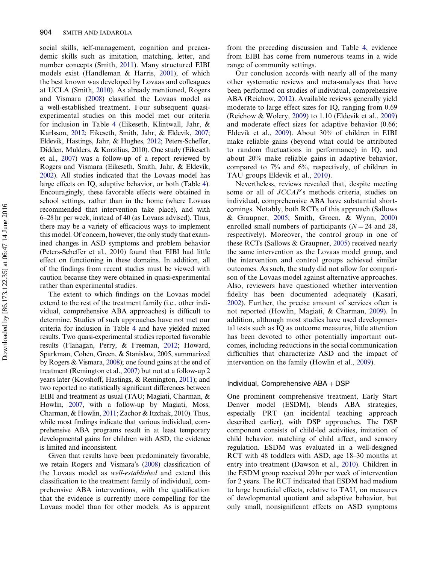social skills, self-management, cognition and preacademic skills such as imitation, matching, letter, and number concepts (Smith, [2011](#page-25-0)). Many structured EIBI models exist (Handleman & Harris, [2001](#page-22-0)), of which the best known was developed by Lovaas and colleagues at UCLA (Smith, [2010](#page-25-0)). As already mentioned, Rogers and Vismara ([2008\)](#page-24-0) classified the Lovaas model as a well-established treatment. Four subsequent quasiexperimental studies on this model met our criteria for inclusion in Table [4](#page-7-0) (Eikeseth, Klintwall, Jahr, & Karlsson, [2012;](#page-21-0) Eikeseth, Smith, Jahr, & Eldevik, [2007](#page-22-0); Eldevik, Hastings, Jahr, & Hughes, [2012;](#page-22-0) Peters-Scheffer, Didden, Mulders, & Korzilius, 2010). One study (Eikeseth et al., [2007\)](#page-22-0) was a follow-up of a report reviewed by Rogers and Vismara (Eikeseth, Smith, Jahr, & Eldevik, [2002](#page-22-0)). All studies indicated that the Lovaas model has large effects on IQ, adaptive behavior, or both (Table [4](#page-7-0)). Encouragingly, these favorable effects were obtained in school settings, rather than in the home (where Lovaas recommended that intervention take place), and with 6–28 hr per week, instead of 40 (as Lovaas advised). Thus, there may be a variety of efficacious ways to implement this model. Of concern, however, the only study that examined changes in ASD symptoms and problem behavior (Peters-Scheffer et al., 2010) found that EIBI had little effect on functioning in these domains. In addition, all of the findings from recent studies must be viewed with caution because they were obtained in quasi-experimental rather than experimental studies.

The extent to which findings on the Lovaas model extend to the rest of the treatment family (i.e., other individual, comprehensive ABA approaches) is difficult to determine. Studies of such approaches have not met our criteria for inclusion in Table [4](#page-7-0) and have yielded mixed results. Two quasi-experimental studies reported favorable results (Flanagan, Perry, & Freeman, [2012](#page-22-0); Howard, Sparkman, Cohen, Green, & Stanislaw, 2005, summarized by Rogers & Vismara, [2008](#page-24-0)); one found gains at the end of treatment (Remington et al., [2007\)](#page-24-0) but not at a follow-up 2 years later (Kovshoff, Hastings, & Remington, [2011\)](#page-23-0); and two reported no statistically significant differences between EIBI and treatment as usual (TAU; Magiati, Charman, & Howlin, [2007,](#page-23-0) with a follow-up by Magiati, Moss, Charman, & Howlin, [2011;](#page-23-0) Zachor & Itzchak, 2010). Thus, while most findings indicate that various individual, comprehensive ABA programs result in at least temporary developmental gains for children with ASD, the evidence is limited and inconsistent.

Given that results have been predominately favorable, we retain Rogers and Vismara's ([2008\)](#page-24-0) classification of the Lovaas model as well-established and extend this classification to the treatment family of individual, comprehensive ABA interventions, with the qualification that the evidence is currently more compelling for the Lovaas model than for other models. As is apparent

from the preceding discussion and Table [4](#page-7-0), evidence from EIBI has come from numerous teams in a wide range of community settings.

Our conclusion accords with nearly all of the many other systematic reviews and meta-analyses that have been performed on studies of individual, comprehensive ABA (Reichow, [2012](#page-24-0)). Available reviews generally yield moderate to large effect sizes for IQ, ranging from 0.69 (Reichow & Wolery, [2009](#page-24-0)) to 1.10 (Eldevik et al., [2009\)](#page-22-0) and moderate effect sizes for adaptive behavior (0.66; Eldevik et al., [2009](#page-22-0)). About 30% of children in EIBI make reliable gains (beyond what could be attributed to random fluctuations in performance) in IQ, and about 20% make reliable gains in adaptive behavior, compared to 7% and 6%, respectively, of children in TAU groups Eldevik et al., [2010\)](#page-22-0).

Nevertheless, reviews revealed that, despite meeting some or all of JCCAP's methods criteria, studies on individual, comprehensive ABA have substantial shortcomings. Notably, both RCTs of this approach (Sallows & Graupner, [2005;](#page-24-0) Smith, Groen, & Wynn, [2000\)](#page-25-0) enrolled small numbers of participants ( $N = 24$  and 28, respectively). Moreover, the control group in one of these RCTs (Sallows & Graupner, [2005](#page-24-0)) received nearly the same intervention as the Lovaas model group, and the intervention and control groups achieved similar outcomes. As such, the study did not allow for comparison of the Lovaas model against alternative approaches. Also, reviewers have questioned whether intervention fidelity has been documented adequately (Kasari, [2002](#page-23-0)). Further, the precise amount of services often is not reported (Howlin, Magiati, & Charman, [2009\)](#page-22-0). In addition, although most studies have used developmental tests such as IQ as outcome measures, little attention has been devoted to other potentially important outcomes, including reductions in the social communication difficulties that characterize ASD and the impact of intervention on the family (Howlin et al., [2009](#page-22-0)).

#### Individual, Comprehensive  $ABA + DSP$

One prominent comprehensive treatment, Early Start Denver model (ESDM), blends ABA strategies, especially PRT (an incidental teaching approach described earlier), with DSP approaches. The DSP component consists of child-led activities, imitation of child behavior, matching of child affect, and sensory regulation. ESDM was evaluated in a well-designed RCT with 48 toddlers with ASD, age 18–30 months at entry into treatment (Dawson et al., [2010\)](#page-21-0). Children in the ESDM group received 20 hr per week of intervention for 2 years. The RCT indicated that ESDM had medium to large beneficial effects, relative to TAU, on measures of developmental quotient and adaptive behavior, but only small, nonsignificant effects on ASD symptoms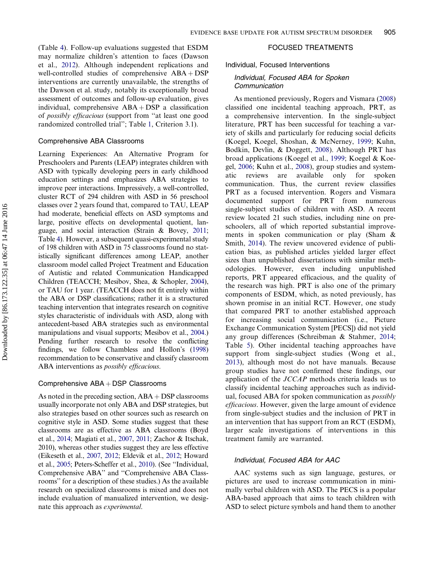(Table [4\)](#page-7-0). Follow-up evaluations suggested that ESDM may normalize children's attention to faces (Dawson et al., [2012](#page-21-0)). Although independent replications and well-controlled studies of comprehensive  $ABA + DSP$ interventions are currently unavailable, the strengths of the Dawson et al. study, notably its exceptionally broad assessment of outcomes and follow-up evaluation, gives individual, comprehensive  $ABA + DSP$  a classification of possibly efficacious (support from ''at least one good randomized controlled trial''; Table [1,](#page-4-0) Criterion 3.1).

## Comprehensive ABA Classrooms

Learning Experiences: An Alternative Program for Preschoolers and Parents (LEAP) integrates children with ASD with typically developing peers in early childhood education settings and emphasizes ABA strategies to improve peer interactions. Impressively, a well-controlled, cluster RCT of 294 children with ASD in 56 preschool classes over 2 years found that, compared to TAU, LEAP had moderate, beneficial effects on ASD symptoms and large, positive effects on developmental quotient, language, and social interaction (Strain & Bovey, [2011](#page-25-0); Table [4](#page-7-0)). However, a subsequent quasi-experimental study of 198 children with ASD in 75 classrooms found no statistically significant differences among LEAP, another classroom model called Project Treatment and Education of Autistic and related Communication Handicapped Children (TEACCH; Mesibov, Shea, & Schopler, [2004\)](#page-24-0), or TAU for 1 year. (TEACCH does not fit entirely within the ABA or DSP classifications; rather it is a structured teaching intervention that integrates research on cognitive styles characteristic of individuals with ASD, along with antecedent-based ABA strategies such as environmental manipulations and visual supports; Mesibov et al., [2004](#page-24-0).) Pending further research to resolve the conflicting findings, we follow Chambless and Hollon's [\(1998\)](#page-21-0) recommendation to be conservative and classify classroom ABA interventions as *possibly efficacious*.

#### Comprehensive  $ABA + DSP$  Classrooms

As noted in the preceding section,  $ABA + DSP$  classrooms usually incorporate not only ABA and DSP strategies, but also strategies based on other sources such as research on cognitive style in ASD. Some studies suggest that these classrooms are as effective as ABA classrooms (Boyd et al., [2014](#page-21-0); Magiati et al., [2007,](#page-23-0) [2011;](#page-23-0) Zachor & Itschak, 2010), whereas other studies suggest they are less effective (Eikeseth et al., [2007](#page-22-0), [2012](#page-21-0); Eldevik et al., [2012;](#page-22-0) Howard et al., [2005;](#page-22-0) Peters-Scheffer et al., [2010\)](#page-22-0). (See ''Individual, Comprehensive ABA'' and ''Comprehensive ABA Classrooms'' for a description of these studies.) As the available research on specialized classrooms is mixed and does not include evaluation of manualized intervention, we designate this approach as experimental.

## FOCUSED TREATMENTS

Individual, Focused Interventions

## Individual, Focused ABA for Spoken **Communication**

As mentioned previously, Rogers and Vismara ([2008\)](#page-24-0) classified one incidental teaching approach, PRT, as a comprehensive intervention. In the single-subject literature, PRT has been successful for teaching a variety of skills and particularly for reducing social deficits (Koegel, Koegel, Shoshan, & McNerney, [1999;](#page-23-0) Kuhn, Bodkin, Devlin, & Doggett, [2008\)](#page-23-0). Although PRT has broad applications (Koegel et al., [1999](#page-23-0); Koegel & Koegel, [2006;](#page-23-0) Kuhn et al., [2008](#page-23-0)), group studies and systematic reviews are available only for spoken communication. Thus, the current review classifies PRT as a focused intervention. Rogers and Vismara documented support for PRT from numerous single-subject studies of children with ASD. A recent review located 21 such studies, including nine on preschoolers, all of which reported substantial improvements in spoken communication or play (Sham & Smith, [2014\)](#page-25-0). The review uncovered evidence of publication bias, as published articles yielded larger effect sizes than unpublished dissertations with similar methodologies. However, even including unpublished reports, PRT appeared efficacious, and the quality of the research was high. PRT is also one of the primary components of ESDM, which, as noted previously, has shown promise in an initial RCT. However, one study that compared PRT to another established approach for increasing social communication (i.e., Picture Exchange Communication System [PECS]) did not yield any group differences (Schreibman & Stahmer, [2014](#page-24-0); Table [5\)](#page-12-0). Other incidental teaching approaches have support from single-subject studies (Wong et al., [2013\)](#page-26-0), although most do not have manuals. Because group studies have not confirmed these findings, our application of the JCCAP methods criteria leads us to classify incidental teaching approaches such as individual, focused ABA for spoken communication as possibly efficacious. However, given the large amount of evidence from single-subject studies and the inclusion of PRT in an intervention that has support from an RCT (ESDM), larger scale investigations of interventions in this treatment family are warranted.

#### Individual, Focused ABA for AAC

AAC systems such as sign language, gestures, or pictures are used to increase communication in minimally verbal children with ASD. The PECS is a popular ABA-based approach that aims to teach children with ASD to select picture symbols and hand them to another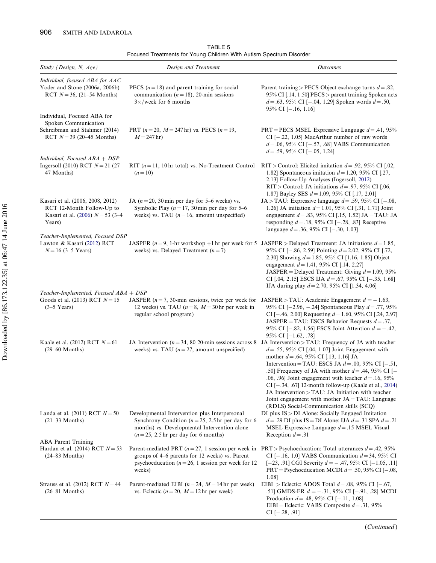| Study (Design, N, Age)                                                                                              | Design and Treatment                                                                                                                                                                             | <b>Outcomes</b>                                                                                                                                                                                                                                                                                                                                                                                                                                                                                                                                                                                                 |
|---------------------------------------------------------------------------------------------------------------------|--------------------------------------------------------------------------------------------------------------------------------------------------------------------------------------------------|-----------------------------------------------------------------------------------------------------------------------------------------------------------------------------------------------------------------------------------------------------------------------------------------------------------------------------------------------------------------------------------------------------------------------------------------------------------------------------------------------------------------------------------------------------------------------------------------------------------------|
| Individual, focused ABA for AAC<br>Yoder and Stone (2006a, 2006b)<br>RCT $N = 36$ , (21–54 Months)                  | PECS $(n = 18)$ and parent training for social<br>communication ( $n = 18$ ), 20-min sessions<br>$3\times$ /week for 6 months                                                                    | Parent training > PECS Object exchange turns $d = .82$ ,<br>95% CI [.14, 1.50] PECS > parent training Spoken acts<br>$d = .63, 95\%$ CI [-.04, 1.29] Spoken words $d = .50$ ,<br>95% CI $[-.16, 1.16]$                                                                                                                                                                                                                                                                                                                                                                                                          |
| Individual, Focused ABA for<br>Spoken Communication<br>Schreibman and Stahmer (2014)<br>RCT $N = 39$ (20–45 Months) | PRT $(n=20, M=247$ hr) vs. PECS $(n=19,$<br>$M = 247$ hr)                                                                                                                                        | PRT = PECS MSEL Expressive Language $d = .41, 95\%$<br>CI $[-.22, 1.05]$ MacArthur number of raw words<br>$d = .06, 95\%$ CI [-.57, .68] VABS Communication<br>$d = .59, 95\%$ CI [ $-.05, 1.24$ ]                                                                                                                                                                                                                                                                                                                                                                                                              |
| Individual, Focused $ABA + DSP$<br>Ingersoll (2010) RCT $N = 21$ (27-<br>47 Months)                                 | RIT $(n=11, 10 \text{ hr total})$ vs. No-Treatment Control<br>$(n=10)$                                                                                                                           | RIT > Control: Elicited imitation $d = 0.92$ , 95% CI [.02,<br>1.82] Spontaneous imitation $d = 1.20$ , 95% CI [.27,<br>2.13] Follow-Up Analyses (Ingersoll, 2012)<br>RIT > Control: JA initiations $d = .97, 95\%$ CI [.06,<br>1.87] Bayley SES $d = 1.09$ , 95% CI [.17, 2.01]                                                                                                                                                                                                                                                                                                                                |
| Kasari et al. (2006, 2008, 2012)<br>RCT 12-Month Follow-Up to<br>Kasari et al. (2006) $N = 53$ (3-4)<br>Years)      | JA ( $n = 20$ , 30 min per day for 5–6 weeks) vs.<br>Symbolic Play ( $n = 17$ , 30 min per day for 5–6<br>weeks) vs. TAU ( $n = 16$ , amount unspecified)                                        | JA > TAU: Expressive language $d = .59$ , 95% CI [-.08,<br>1.26] JA initiation $d = 1.01$ , 95% CI [.31, 1.71] Joint<br>engagement $d = .83$ , 95% CI [.15, 1.52] JA = TAU: JA<br>responding $d = .18, 95\%$ CI [-.28, .83] Receptive<br>language $d = .36, 95\%$ CI [-.30, 1.03]                                                                                                                                                                                                                                                                                                                               |
| Teacher-Implemented, Focused DSP<br>Lawton & Kasari (2012) RCT<br>$N = 16$ (3–5 Years)                              | weeks) vs. Delayed Treatment $(n=7)$                                                                                                                                                             | JASPER $(n=9, 1-hr)$ workshop +1 hr per week for 5 JASPER > Delayed Treatment: JA initiations $d=1.85$ ,<br>95% CI [ $-.86, 2.59$ ] Pointing $d = 2.02, 95\%$ CI [.72,<br>2.30] Showing $d = 1.85$ , 95% CI [1.16, 1.85] Object<br>engagement $d = 1.41$ , 95% CI [.14, 2.27]<br>JASPER = Delayed Treatment: Giving $d = 1.09$ , 95%<br>CI [.04, 2.15] ESCS IJA $d = .67$ , 95% CI [-.35, 1.68]<br>IJA during play $d = 2.70$ , 95% CI [1.34, 4.06]                                                                                                                                                             |
| Teacher-Implemented, Focused ABA + DSP<br>Goods et al. (2013) RCT $N = 15$<br>$(3-5$ Years)                         | JASPER ( $n = 7$ , 30-min sessions, twice per week for<br>12 weeks) vs. TAU ( $n = 8$ , $M = 30$ hr per week in<br>regular school program)                                                       | JASPER > TAU: Academic Engagement $d = -1.63$ ,<br>95% CI [-2.96, -.24] Spontaneous Play $d = .77, 95%$<br>CI [-.46, 2.00] Requesting $d = 1.60$ , 95% CI [.24, 2.97]<br>JASPER = TAU: ESCS Behavior Requests $d = .37$ ,<br>95% CI [-.82, 1.56] ESCS Joint Attention $d = -0.42$ ,<br>95% CI $[-1.62, .78]$                                                                                                                                                                                                                                                                                                    |
| Kaale et al. (2012) RCT $N = 61$<br>$(29-60$ Months)                                                                | weeks) vs. TAU $(n=27,$ amount unspecified)                                                                                                                                                      | JA Intervention ( $n = 34$ , 80 20-min sessions across 8 JA Intervention > TAU: Frequency of JA with teacher<br>$d = .55, 95\%$ CI [.04, 1.07] Joint Engagement with<br>mother $d = .64$ , 95% CI [.13, 1.16] JA<br>Intervention = TAU: ESCS JA $d = .00$ , 95% CI [-.51,<br>.50] Frequency of JA with mother $d = .44$ , 95% CI [-<br>.06, .96] Joint engagement with teacher $d = .16$ , 95%<br>CI [-.34, .67] 12-month follow-up (Kaale et al., 2014)<br>JA Intervention > TAU: JA Initiation with teacher<br>Joint engagement with mother $JA = TAU$ : Language<br>(RDLS) Social-Communication skills (SCQ) |
| Landa et al. (2011) RCT $N = 50$<br>$(21-33$ Months)                                                                | Developmental Intervention plus Interpersonal<br>Synchrony Condition ( $n = 25$ , 2.5 hr per day for 6<br>months) vs. Developmental Intervention alone<br>$(n=25, 2.5)$ hr per day for 6 months) | DI plus IS > DI Alone: Socially Engaged Imitation<br>$d = .29$ DI plus IS = DI Alone: IJA $d = .31$ SPA $d = .21$<br>MSEL Expressive Language $d = .15$ MSEL Visual<br>Reception $d = .31$                                                                                                                                                                                                                                                                                                                                                                                                                      |
| <b>ABA</b> Parent Training<br>Hardan et al. (2014) RCT $N = 53$<br>$(24-83$ Months)                                 | Parent-mediated PRT $(n=27, 1)$ session per week in<br>groups of 4–6 parents for 12 weeks) vs. Parent<br>psychoeducation ( $n = 26$ , 1 session per week for 12<br>weeks)                        | PRT > Psychoeducation: Total utterances $d = .42, 95\%$<br>CI [-.16, 1.0] VABS Communication $d = 34$ , 95% CI<br>$[-23, .91]$ CGI Severity $d = -.47, 95\%$ CI $[-1.05, .11]$<br>PRT = Psychoeducation MCDI $d = .50, 95\%$ CI [-.08,<br>1.08]                                                                                                                                                                                                                                                                                                                                                                 |
| Strauss et al. (2012) RCT $N=44$<br>$(26-81$ Months)                                                                | Parent-mediated EIBI ( $n = 24$ , $M = 14$ hr per week)<br>vs. Eclectic ( $n = 20$ , $M = 12$ hr per week)                                                                                       | EIBI > Eclectic: ADOS Total $d = .08$ , 95% CI [-.67,<br>.51] GMDS-ER $d = -.31, 95\%$ CI [-.91, .28] MCDI<br>Production $d = .48, 95\%$ CI [-.11, 1.08]<br>EIBI = Eclectic: VABS Composite $d = .31, 95\%$<br>$CI[-.28, .91]$                                                                                                                                                                                                                                                                                                                                                                                  |

TABLE 5 Focused Treatments for Young Children With Autism Spectrum Disorder

(Continued )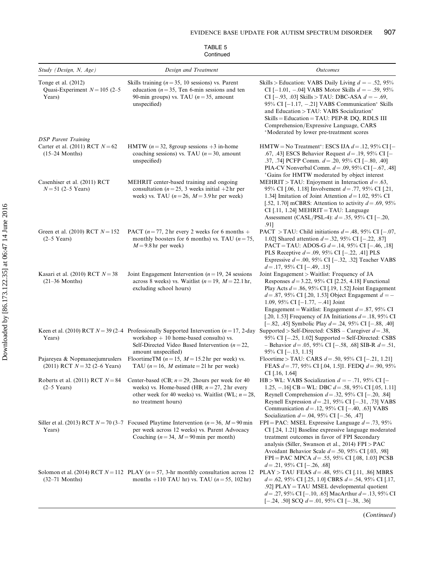| TABLE 5   |  |
|-----------|--|
| Continued |  |

| Study (Design, N, Age)                                                              | Design and Treatment                                                                                                                                                                                                       | <b>Outcomes</b>                                                                                                                                                                                                                                                                                                                                                                                                                                              |
|-------------------------------------------------------------------------------------|----------------------------------------------------------------------------------------------------------------------------------------------------------------------------------------------------------------------------|--------------------------------------------------------------------------------------------------------------------------------------------------------------------------------------------------------------------------------------------------------------------------------------------------------------------------------------------------------------------------------------------------------------------------------------------------------------|
| Tonge et al. $(2012)$<br>Quasi-Experiment $N = 105$ (2-5)<br>Years)                 | Skills training ( $n = 35$ , 10 sessions) vs. Parent<br>education ( $n = 35$ , Ten 6-min sessions and ten<br>90-min groups) vs. TAU ( $n = 35$ , amount<br>unspecified)                                                    | Skills > Education: VABS Daily Living $d = -.52, 95\%$<br>CI [-1.01, -.04] VABS Motor Skills $d = -0.59, 95\%$<br>CI [-.93, .03] Skills > TAU: DBC-ASA $d = -.69$ ,<br>95% CI $[-1.17, -0.21]$ VABS Communication* Skills<br>and Education > TAU: VABS Socialization*<br>$S$ kills = Education = TAU: PEP-R DQ, RDLS III<br>Comprehension/Expressive Language, CARS<br>*Moderated by lower pre-treatment scores                                              |
| <b>DSP</b> Parent Training<br>Carter et al. (2011) RCT $N = 62$<br>$(15-24$ Months) | HMTW ( $n = 32$ , 8group sessions +3 in-home<br>coaching sessions) vs. TAU ( $n = 30$ , amount<br>unspecified)                                                                                                             | HMTW = No Treatment <sup>*</sup> : ESCS IJA $d = .12,95\%$ CI [-<br>.67, .43] ESCS Behavior Request $d = .19$ , 95% CI [-<br>.37, .74] PCFP Comm. $d = .20$ , 95% CI [-.80, .40]<br>PIA-CV Nonverbal Comm. $d = .09, 95\%$ CI [-.67, .48]<br>*Gains for HMTW moderated by object interest                                                                                                                                                                    |
| Casenhiser et al. (2011) RCT<br>$N = 51$ (2–5 Years)                                | MEHRIT center-based training and ongoing<br>consultation ( $n = 25$ , 3 weeks initial $+2$ hr per<br>week) vs. TAU ( $n = 26$ , $M = 3.9$ hr per week)                                                                     | MEHRIT > TAU: Enjoyment in Interaction $d = .63$ ,<br>95% CI [.06, 1.18] Involvement $d = .77$ , 95% CI [.21,<br>1.34] Imitation of Joint Attention $d = 1.02$ , 95% CI<br>[.52, 1.70] mCBRS: Attention to activity $d = .69, 95\%$<br>$CI$ [.11, 1.24] MEHRIT = TAU: Language<br>Assessment (CASL/PSL-4): $d = .35$ , 95% CI [-.20,<br>.91]                                                                                                                 |
| Green et al. (2010) RCT $N = 152$<br>$(2-5$ Years)                                  | PACT $(n = 77, 2)$ hr every 2 weeks for 6 months +<br>monthly boosters for 6 months) vs. TAU ( $n = 75$ ,<br>$M = 9.8$ hr per week)                                                                                        | PACT > TAU: Child initiations $d = .48, 95\%$ CI [-.07,<br>1.02] Shared attention $d = .32, 95\%$ CI [-.22, .87]<br>PACT = TAU: ADOS-G $d = .14$ , 95% CI [-.46, ,18]<br>PLS Receptive $d = .09, 95\%$ CI [-.22, .41] PLS<br>Expressive $d = .00, 95\%$ CI [ $-.32, .32$ ] Teacher VABS<br>$d = .17, 95\%$ CI [-.49, .15]                                                                                                                                    |
| Kasari et al. (2010) RCT $N = 38$<br>$(21-36$ Months)                               | Joint Engagement Intervention ( $n = 19$ , 24 sessions<br>across 8 weeks) vs. Waitlist ( $n = 19$ , $M = 22.1$ hr,<br>excluding school hours)                                                                              | Joint Engagement > Waitlist: Frequency of JA<br>Responses $d = 3.22$ , 95% CI [2.25, 4.18] Functional<br>Play Acts $d = .86, 95\%$ CI [.19, 1.52] Joint Engagement<br>$d = 0.87, 95\%$ CI [.20, 1.53] Object Engagement $d = -$<br>1.09, 95% CI $[-1.77, -0.41]$ Joint<br>Engagement = Waitlist: Engagement $d = .87, 95\%$ CI<br>[.20, 1.53] Frequency of JA Initiations $d = .18$ , 95% CI<br>$[-.82, .45]$ Symbolic Play $d = .24, 95\%$ CI $[-.88, .40]$ |
| Years)                                                                              | workshop $+10$ home-based consults) vs.<br>Self-Directed Video Based Intervention ( $n = 22$ ,<br>amount unspecified)                                                                                                      | Keen et al. (2010) RCT $N = 39$ (2-4 Professionally Supported Intervention ( $n = 17$ , 2-day Supported > Self-Directed: CSBS – Caregiver $d = .38$ ,<br>95% CI $[-.25, 1.02]$ Supported = Self-Directed: CSBS<br>- Behavior $d = .05$ , 95% CI [-.58, .68] SIB-R $d = .51$ ,<br>95% CI [-.13, 1.15]                                                                                                                                                         |
| Pajareyea & Nopmaneejumruslers<br>$(2011)$ RCT $N = 32$ (2–6 Years)                 | FloortimeTM ( $n = 15$ , $M = 15.2$ hr per week) vs.<br>TAU ( $n = 16$ , M estimate = 21 hr per week)                                                                                                                      | Floortime > TAU: CARS $d = .50, 95\%$ CI [-.21, 1.21]<br>FEAS $d = .77, 95\%$ CI [.04, 1.5]1. FEDQ $d = .90, 95\%$<br>CI $[.16, 1.64]$                                                                                                                                                                                                                                                                                                                       |
| $(2-5$ Years)                                                                       | Roberts et al. (2011) RCT $N = 84$ Center-based (CB; $n = 29$ , 2hours per week for 40<br>weeks) vs. Home-based (HB; $n = 27$ , 2 hr every<br>other week for 40 weeks) vs. Waitlist (WL; $n = 28$ ,<br>no treatment hours) | HB > WL: VABS Socialization $d = -.71, 95\%$ CI [-<br>1.25, -.16] CB = WL: DBC $d = .58$ , 95% CI [.05, 1.11]<br>Reynell Comprehension $d = .32, 95\%$ CI [-.20, .84]<br>Reynell Expression $d = .21$ , 95% CI [-.31, .73] VABS<br>Communication $d = .12, 95\%$ CI [-.40, .63] VABS<br>Socialization $d = .04$ , 95% CI [-.56, .47]                                                                                                                         |
| Years)                                                                              | Siller et al. (2013) RCT $N = 70$ (3-7 Focused Playtime Intervention ( $n = 36$ , $M = 90$ min<br>per week across 12 weeks) vs. Parent Advocacy<br>Coaching ( $n = 34$ , $M = 90$ min per month)                           | FPI = PAC: MSEL Expressive Language $d = .73,95\%$<br>CI [.24, 1.21] Baseline expressive language moderated<br>treatment outcomes in favor of FPI Secondary<br>analysis (Siller, Swanson et al., 2014) FPI > PAC<br>Avoidant Behavior Scale $d = .50, 95\%$ CI [.03, .98]<br>FPI = PAC MPCA $d = .55$ , 95% CI [.08, 1.03] PCSB<br>$d = .21,95\% \text{ CI } [-.26, .68]$                                                                                    |
| $(32-71$ Months)                                                                    | Solomon et al. (2014) RCT $N = 112$ PLAY ( $n = 57$ , 3-hr monthly consultation across 12<br>months +110 TAU hr) vs. TAU $(n = 55, 102$ hr)                                                                                | PLAY > TAU FEAS $d = .48, 95\%$ CI [.11, .86] MBRS<br>$d = .62, 95\%$ CI [.25, 1.0] CBRS $d = .54, 95\%$ CI [.17,<br>.92] PLAY = TAU MSEL developmental quotient<br>$d = 0.27, 95\%$ CI [-.10, .65] MacArthur $d = 0.13, 95\%$ CI<br>$[-.24, .50]$ SCQ $d = .01, 95\%$ CI $[-.38, .36]$                                                                                                                                                                      |

(Continued )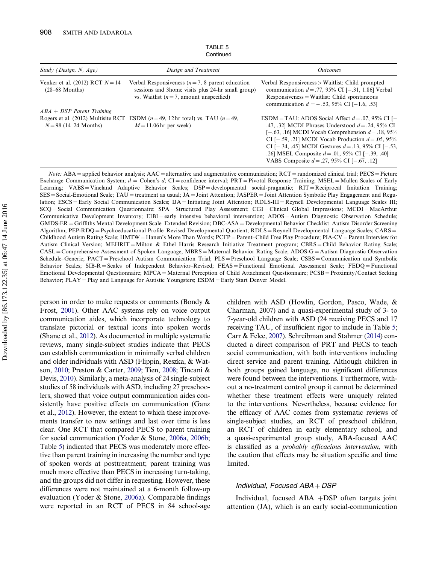<span id="page-12-0"></span>

| Study (Design, N, Age)                                | Design and Treatment                                                                                                                                  | <i>Outcomes</i>                                                                                                                                                                                                                                                                                                                                                                                    |
|-------------------------------------------------------|-------------------------------------------------------------------------------------------------------------------------------------------------------|----------------------------------------------------------------------------------------------------------------------------------------------------------------------------------------------------------------------------------------------------------------------------------------------------------------------------------------------------------------------------------------------------|
| Venker et al. (2012) RCT $N = 14$<br>$(28-68$ Months) | Verbal Responsiveness ( $n = 7$ , 8 parent education<br>sessions and 3home visits plus 24-hr small group)<br>vs. Waitlist $(n=7,$ amount unspecified) | Verbal Responsiveness > Waitlist: Child prompted<br>communication $d = .77, 95\%$ CI [-.31, 1.86] Verbal<br>$Responsiveness = Waitlist$ : Child spontaneous<br>communication $d = -.53, 95\%$ CI [-1.6, .53]                                                                                                                                                                                       |
| $ABA + DSP$ Parent Training                           |                                                                                                                                                       |                                                                                                                                                                                                                                                                                                                                                                                                    |
| $N = 98$ (14–24 Months)                               | Rogers et al. (2012) Multisite RCT ESDM $(n=49, 12 \text{ hr total})$ vs. TAU $(n=49, 12 \text{ hr})$<br>$M = 11.06$ hr per week)                     | ESDM = TAU: ADOS Social Affect $d = .07, 95\%$ CI [-<br>.47, .32] MCDI Phrases Understood $d = .24$ , 95% CI<br>$[-.63, .16]$ MCDI Vocab Comprehension $d = .18, 95\%$<br>CI [-.59, .21] MCDI Vocab Production $d = .05, 95\%$<br>CI [-.34, .45] MCDI Gestures $d = .13, 95\%$ CI [-.53,<br>.26] MSEL Composite $d = .01$ , 95% CI [-.39, .40]<br>VABS Composite $d = 0.27, 95\%$ CI [-0.67, 0.12] |

TABLE 5 **Continued** 

*Note:* ABA = applied behavior analysis;  $AAC =$  alternative and augmentative communication;  $RCT =$  randomized clinical trial;  $PECS =$  Picture Exchange Communication System;  $d =$  Cohen's  $d$ ; CI = confidence interval; PRT = Pivotal Response Training; MSEL = Mullen Scales of Early Learning; VABS = Vineland Adaptive Behavior Scales; DSP = developmental social-pragmatic; RIT = Reciprocal Imitation Training;  $SES = Social-Emotional Scale; TAU = treatment as usual; JA = Joint Attention; JASPER = Joint Attention Symbolic Play Engagement and Regu$ lation; ESCS = Early Social Communication Scales; IJA = Initiating Joint Attention; RDLS-III = Reynell Developmental Language Scales III; SCQ = Social Communication Questionnaire; SPA = Structured Play Assessment; CGI = Clinical Global Impressions; MCDI = MacArthur Communicative Development Inventory;  $EIBI = early$  intensive behavioral intervention;  $ADOS =$ Autism Diagnostic Observation Schedule; GMDS-ER = Griffiths Mental Development Scale–Extended Revision; DBC-ASA = Developmental Behavior Checklist–Autism Disorder Screening Algorithm; PEP-RDQ = Psychoeducational Profile–Revised Developmental Quotient; RDLS = Reynell Developmental Language Scales; CARS = Childhood Autism Rating Scale; HMTW = Hanen's More Than Words; PCFP = Parent–Child Free Play Procedure; PIA-CV = Parent Interview for Autism–Clinical Version; MEHRIT = Milton & Ethel Harris Research Initiative Treatment program; CBRS = Child Behavior Rating Scale; CASL = Comprehensive Assessment of Spoken Language; MBRS = Maternal Behavior Rating Scale; ADOS-G = Autism Diagnostic Observation Schedule–Generic; PACT = Preschool Autism Communication Trial; PLS = Preschool Language Scale; CSBS = Communication and Symbolic Behavior Scales; SIB-R = Scales of Independent Behavior–Revised; FEAS = Functional Emotional Assessment Scale; FEDQ = Functional Emotional Developmental Questionnaire; MPCA = Maternal Perception of Child Attachment Questionnaire; PCSB = Proximity/Contact Seeking Behavior; PLAY = Play and Language for Autistic Youngsters; ESDM = Early Start Denver Model.

person in order to make requests or comments (Bondy & Frost, [2001\)](#page-21-0). Other AAC systems rely on voice output communication aides, which incorporate technology to translate pictorial or textual icons into spoken words (Shane et al., [2012\)](#page-25-0). As documented in multiple systematic reviews, many single-subject studies indicate that PECS can establish communication in minimally verbal children and older individuals with ASD (Flippin, Reszka, & Watson, [2010;](#page-22-0) Preston & Carter, [2009](#page-24-0); Tien, [2008](#page-25-0); Tincani & Devis, [2010](#page-25-0)). Similarly, a meta-analysis of 24 single-subject studies of 58 individuals with ASD, including 27 preschoolers, showed that voice output communication aides consistently have positive effects on communication (Ganz et al., [2012\)](#page-22-0). However, the extent to which these improvements transfer to new settings and last over time is less clear. One RCT that compared PECS to parent training for social communication (Yoder & Stone, [2006a](#page-26-0), [2006b](#page-26-0); Table 5) indicated that PECS was moderately more effective than parent training in increasing the number and type of spoken words at posttreatment; parent training was much more effective than PECS in increasing turn-taking, and the groups did not differ in requesting. However, these differences were not maintained at a 6-month follow-up evaluation (Yoder & Stone, [2006a](#page-26-0)). Comparable findings were reported in an RCT of PECS in 84 school-age children with ASD (Howlin, Gordon, Pasco, Wade, & Charman, 2007) and a quasi-experimental study of 3- to 7-year-old children with ASD (24 receiving PECS and 17 receiving TAU, of insufficient rigor to include in Table 5; Carr & Felce, [2007\)](#page-21-0). Schreibman and Stahmer [\(2014](#page-24-0)) conducted a direct comparison of PRT and PECS to teach social communication, with both interventions including direct service and parent training. Although children in both groups gained language, no significant differences were found between the interventions. Furthermore, without a no-treatment control group it cannot be determined whether these treatment effects were uniquely related to the interventions. Nevertheless, because evidence for the efficacy of AAC comes from systematic reviews of single-subject studies, an RCT of preschool children, an RCT of children in early elementary school, and a quasi-experimental group study, ABA-focused AAC is classified as a probably efficacious intervention, with the caution that effects may be situation specific and time limited.

#### Individual, Focused  $ABA + DSP$

Individual, focused  $ABA +DSP$  often targets joint attention (JA), which is an early social-communication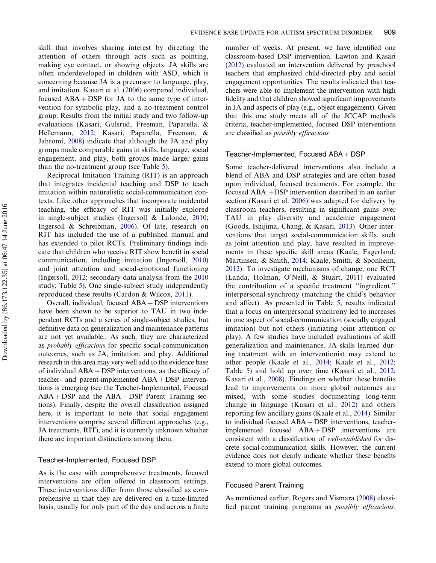skill that involves sharing interest by directing the attention of others through acts such as pointing, making eye contact, or showing objects. JA skills are often underdeveloped in children with ASD, which is concerning because JA is a precursor to language, play, and imitation. Kasari et al. ([2006\)](#page-23-0) compared individual, focused  $ABA + DSP$  for JA to the same type of intervention for symbolic play, and a no-treatment control group. Results from the initial study and two follow-up evaluations (Kasari, Gulsrud, Freeman, Paparella, & Hellemann, [2012;](#page-23-0) Kasari, Paparella, Freeman, & Jahromi, [2008](#page-23-0)) indicate that although the JA and play groups made comparable gains in skills, language, social engagement, and play, both groups made larger gains than the no-treatment group (see Table [5](#page-12-0)).

Reciprocal Imitation Training (RIT) is an approach that integrates incidental teaching and DSP to teach imitation within naturalistic social-communication contexts. Like other approaches that incorporate incidental teaching, the efficacy of RIT was initially explored in single-subject studies (Ingersoll & Lalonde, [2010](#page-22-0); Ingersoll & Schreibman, [2006\)](#page-22-0). Of late, research on RIT has included the use of a published manual and has extended to pilot RCTs. Preliminary findings indicate that children who receive RIT show benefit in social communication, including imitation (Ingersoll, [2010\)](#page-22-0) and joint attention and social-emotional functioning (Ingersoll, [2012](#page-22-0); secondary data analysis from the [2010](#page-22-0) study; Table [5\)](#page-12-0). One single-subject study independently reproduced these results (Cardon & Wilcox, [2011](#page-21-0)).

Overall, individual, focused  $ABA + DSP$  interventions have been shown to be superior to TAU in two independent RCTs and a series of single-subject studies, but definitive data on generalization and maintenance patterns are not yet available.. As such, they are characterized as probably efficacious for specific social-communication outcomes, such as JA, imitation, and play. Additional research in this area may very well add to the evidence base of individual  $ABA +DSP$  interventions, as the efficacy of teacher- and parent-implemented  $ABA + DSP$  interventions is emerging (see the Teacher-Implemented, Focused  $ABA + DSP$  and the  $ABA + DSP$  Parent Training sections). Finally, despite the overall classification assigned here, it is important to note that social engagement interventions comprise several different approaches (e.g., JA treatments, RIT), and it is currently unknown whether there are important distinctions among them.

#### Teacher-Implemented, Focused DSP

As is the case with comprehensive treatments, focused interventions are often offered in classroom settings. These interventions differ from those classified as comprehensive in that they are delivered on a time-limited basis, usually for only part of the day and across a finite number of weeks. At present, we have identified one classroom-based DSP intervention. Lawton and Kasari [\(2012](#page-23-0)) evaluated an intervention delivered by preschool teachers that emphasized child-directed play and social engagement opportunities. The results indicated that teachers were able to implement the intervention with high fidelity and that children showed significant improvements in JA and aspects of play (e.g., object engagement). Given that this one study meets all of the JCCAP methods criteria, teacher-implemented, focused DSP interventions are classified as possibly efficacious.

#### Teacher-Implemented, Focused  $ABA + DSP$

Some teacher-delivered interventions also include a blend of ABA and DSP strategies and are often based upon individual, focused treatments. For example, the focused  $ABA +DSP$  intervention described in an earlier section (Kasari et al. [2006](#page-23-0)) was adapted for delivery by classroom teachers, resulting in significant gains over TAU in play diversity and academic engagement (Goods, Ishijima, Chang, & Kasari, [2013](#page-22-0)). Other interventions that target social-communication skills, such as joint attention and play, have resulted in improvements in these specific skill areas (Kaale, Fagerland, Martinsen, & Smith, [2014;](#page-23-0) Kaale, Smith, & Sponheim, [2012\)](#page-23-0). To investigate mechanisms of change, one RCT (Landa, Holman, O'Neill, & Stuart, 2011) evaluated the contribution of a specific treatment ''ingredient,'' interpersonal synchrony (matching the child's behavior and affect). As presented in Table [5](#page-12-0), results indicated that a focus on interpersonal synchrony led to increases in one aspect of social-communication (socially engaged imitation) but not others (initiating joint attention or play). A few studies have included evaluations of skill generalization and maintenance. JA skills learned during treatment with an interventionist may extend to other people (Kaale et al., [2014](#page-23-0); Kaale et al., [2012](#page-23-0); Table [5\)](#page-12-0) and hold up over time (Kasari et al., [2012](#page-23-0); Kasari et al., [2008](#page-23-0)). Findings on whether these benefits lead to improvements on more global outcomes are mixed, with some studies documenting long-term change in language (Kasari et al., [2012](#page-23-0)) and others reporting few ancillary gains (Kaale et al., [2014\)](#page-23-0). Similar to individual focused  $ABA + DSP$  interventions, teacherimplemented focused  $ABA + DSP$  interventions are consistent with a classification of well-established for discrete social-communication skills. However, the current evidence does not clearly indicate whether these benefits extend to more global outcomes.

#### Focused Parent Training

As mentioned earlier, Rogers and Vismara [\(2008](#page-24-0)) classified parent training programs as possibly efficacious.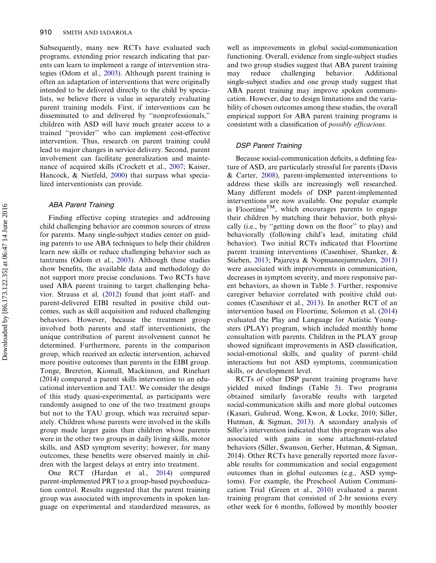Subsequently, many new RCTs have evaluated such programs, extending prior research indicating that parents can learn to implement a range of intervention strategies (Odom et al., [2003\)](#page-24-0). Although parent training is often an adaptation of interventions that were originally intended to be delivered directly to the child by specialists, we believe there is value in separately evaluating parent training models. First, if interventions can be disseminated to and delivered by ''nonprofessionals,'' children with ASD will have much greater access to a trained ''provider'' who can implement cost-effective intervention. Thus, research on parent training could lead to major changes in service delivery. Second, parent involvement can facilitate generalization and maintenance of acquired skills (Crockett et al., [2007;](#page-21-0) Kaiser, Hancock, & Nietfeld, [2000](#page-23-0)) that surpass what specialized interventionists can provide.

#### ABA Parent Training

Finding effective coping strategies and addressing child challenging behavior are common sources of stress for parents. Many single-subject studies center on guiding parents to use ABA techniques to help their children learn new skills or reduce challenging behavior such as tantrums (Odom et al., [2003](#page-24-0)). Although these studies show benefits, the available data and methodology do not support more precise conclusions. Two RCTs have used ABA parent training to target challenging behavior. Strauss et al. [\(2012](#page-25-0)) found that joint staff- and parent-delivered EIBI resulted in positive child outcomes, such as skill acquisition and reduced challenging behaviors. However, because the treatment group involved both parents and staff interventionists, the unique contribution of parent involvement cannot be determined. Furthermore, parents in the comparison group, which received an eclectic intervention, achieved more positive outcomes than parents in the EIBI group. Tonge, Brereton, Kiomall, Mackinnon, and Rinehart (2014) compared a parent skills intervention to an educational intervention and TAU. We consider the design of this study quasi-experimental, as participants were randomly assigned to one of the two treatment groups but not to the TAU group, which was recruited separately. Children whose parents were involved in the skills group made larger gains than children whose parents were in the other two groups in daily living skills, motor skills, and ASD symptom severity; however, for many outcomes, these benefits were observed mainly in children with the largest delays at entry into treatment.

One RCT (Hardan et al., [2014\)](#page-22-0) compared parent-implemented PRT to a group-based psychoeducation control. Results suggested that the parent training group was associated with improvements in spoken language on experimental and standardized measures, as well as improvements in global social-communication functioning. Overall, evidence from single-subject studies and two group studies suggest that ABA parent training may reduce challenging behavior. Additional single-subject studies and one group study suggest that ABA parent training may improve spoken communication. However, due to design limitations and the variability of chosen outcomes among these studies, the overall empirical support for ABA parent training programs is consistent with a classification of possibly efficacious.

## DSP Parent Training

Because social-communication deficits, a defining feature of ASD, are particularly stressful for parents (Davis & Carter, [2008](#page-21-0)), parent-implemented interventions to address these skills are increasingly well researched. Many different models of DSP parent-implemented interventions are now available. One popular example is Floortime<sup>TM</sup>, which encourages parents to engage their children by matching their behavior, both physically (i.e., by ''getting down on the floor'' to play) and behaviorally (following child's lead, imitating child behavior). Two initial RCTs indicated that Floortime parent training interventions (Casenhiser, Shanker, & Stieben, [2013](#page-21-0); Pajareya & Nopmaneejumruslers, [2011\)](#page-24-0) were associated with improvements in communication, decreases in symptom severity, and more responsive parent behaviors, as shown in Table [5.](#page-12-0) Further, responsive caregiver behavior correlated with positive child outcomes (Casenhiser et al., [2013](#page-21-0)). In another RCT of an intervention based on Floortime, Solomon et al. ([2014\)](#page-25-0) evaluated the Play and Language for Autistic Youngsters (PLAY) program, which included monthly home consultation with parents. Children in the PLAY group showed significant improvements in ASD classification, social-emotional skills, and quality of parent–child interactions but not ASD symptoms, communication skills, or development level.

RCTs of other DSP parent training programs have yielded mixed findings (Table [5](#page-12-0)). Two programs obtained similarly favorable results with targeted social-communication skills and more global outcomes (Kasari, Gulsrud, Wong, Kwon, & Locke, 2010; Siller, Hutman, & Sigman, [2013\)](#page-25-0). A secondary analysis of Siller's intervention indicated that this program was also associated with gains in some attachment-related behaviors (Siller, Swanson, Gerber, Hutman, & Sigman, 2014). Other RCTs have generally reported more favorable results for communication and social engagement outcomes than in global outcomes (e.g., ASD symptoms). For example, the Preschool Autism Communication Trial (Green et al., [2010\)](#page-22-0) evaluated a parent training program that consisted of 2-hr sessions every other week for 6 months, followed by monthly booster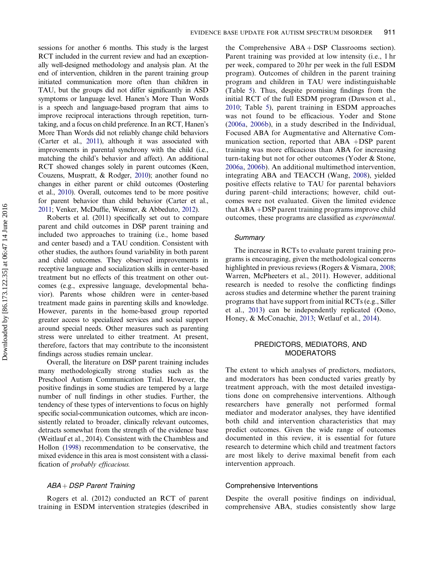sessions for another 6 months. This study is the largest RCT included in the current review and had an exceptionally well-designed methodology and analysis plan. At the end of intervention, children in the parent training group initiated communication more often than children in TAU, but the groups did not differ significantly in ASD symptoms or language level. Hanen's More Than Words is a speech and language-based program that aims to improve reciprocal interactions through repetition, turntaking, and a focus on child preference. In an RCT, Hanen's More Than Words did not reliably change child behaviors (Carter et al., [2011](#page-21-0)), although it was associated with improvements in parental synchrony with the child (i.e., matching the child's behavior and affect). An additional RCT showed changes solely in parent outcomes (Keen, Couzens, Muspratt, & Rodger, [2010](#page-23-0)); another found no changes in either parent or child outcomes (Oosterling et al., [2010](#page-24-0)). Overall, outcomes tend to be more positive for parent behavior than child behavior (Carter et al., [2011;](#page-21-0) Venker, McDuffie, Weismer, & Abbeduto, [2012\)](#page-25-0).

Roberts et al. (2011) specifically set out to compare parent and child outcomes in DSP parent training and included two approaches to training (i.e., home based and center based) and a TAU condition. Consistent with other studies, the authors found variability in both parent and child outcomes. They observed improvements in receptive language and socialization skills in center-based treatment but no effects of this treatment on other outcomes (e.g., expressive language, developmental behavior). Parents whose children were in center-based treatment made gains in parenting skills and knowledge. However, parents in the home-based group reported greater access to specialized services and social support around special needs. Other measures such as parenting stress were unrelated to either treatment. At present, therefore, factors that may contribute to the inconsistent findings across studies remain unclear.

Overall, the literature on DSP parent training includes many methodologically strong studies such as the Preschool Autism Communication Trial. However, the positive findings in some studies are tempered by a large number of null findings in other studies. Further, the tendency of these types of interventions to focus on highly specific social-communication outcomes, which are inconsistently related to broader, clinically relevant outcomes, detracts somewhat from the strength of the evidence base (Weitlauf et al., 2014). Consistent with the Chambless and Hollon [\(1998\)](#page-21-0) recommendation to be conservative, the mixed evidence in this area is most consistent with a classification of probably efficacious.

## $ABA + DSP$  Parent Training

Rogers et al. (2012) conducted an RCT of parent training in ESDM intervention strategies (described in

the Comprehensive  $ABA + DSP$  Classrooms section). Parent training was provided at low intensity (i.e., 1 hr per week, compared to 20 hr per week in the full ESDM program). Outcomes of children in the parent training program and children in TAU were indistinguishable (Table [5\)](#page-12-0). Thus, despite promising findings from the initial RCT of the full ESDM program (Dawson et al., [2010;](#page-21-0) Table [5](#page-12-0)), parent training in ESDM approaches was not found to be efficacious. Yoder and Stone [\(2006a](#page-26-0), [2006b](#page-26-0)), in a study described in the Individual, Focused ABA for Augmentative and Alternative Communication section, reported that  $ABA$  +DSP parent training was more efficacious than ABA for increasing turn-taking but not for other outcomes (Yoder & Stone, [2006a,](#page-26-0) [2006b\)](#page-26-0). An additional multimethod intervention, integrating ABA and TEACCH (Wang, [2008\)](#page-24-0), yielded positive effects relative to TAU for parental behaviors during parent–child interactions; however, child outcomes were not evaluated. Given the limited evidence that  $ABA +DSP$  parent training programs improve child outcomes, these programs are classified as experimental.

## **Summary**

The increase in RCTs to evaluate parent training programs is encouraging, given the methodological concerns highlighted in previous reviews (Rogers & Vismara, [2008](#page-24-0); Warren, McPheeters et al., 2011). However, additional research is needed to resolve the conflicting findings across studies and determine whether the parent training programs that have support from initial RCTs (e.g., Siller et al., [2013\)](#page-25-0) can be independently replicated (Oono, Honey, & McConachie, [2013;](#page-24-0) Wetlauf et al., [2014](#page-25-0)).

#### PREDICTORS, MEDIATORS, AND MODERATORS

The extent to which analyses of predictors, mediators, and moderators has been conducted varies greatly by treatment approach, with the most detailed investigations done on comprehensive interventions. Although researchers have generally not performed formal mediator and moderator analyses, they have identified both child and intervention characteristics that may predict outcomes. Given the wide range of outcomes documented in this review, it is essential for future research to determine which child and treatment factors are most likely to derive maximal benefit from each intervention approach.

#### Comprehensive Interventions

Despite the overall positive findings on individual, comprehensive ABA, studies consistently show large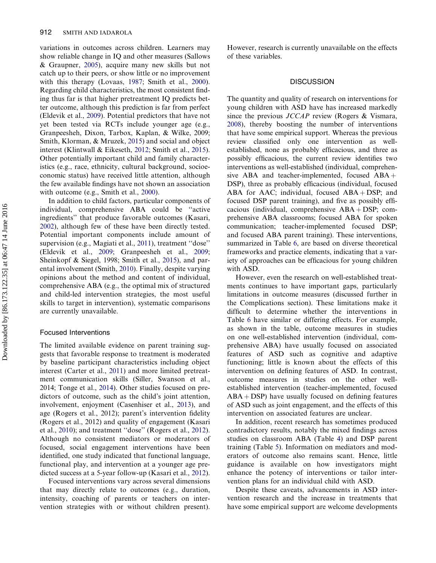variations in outcomes across children. Learners may show reliable change in IQ and other measures (Sallows & Graupner, [2005\)](#page-24-0), acquire many new skills but not catch up to their peers, or show little or no improvement with this therapy (Lovaas, [1987](#page-23-0); Smith et al., [2000](#page-25-0)). Regarding child characteristics, the most consistent finding thus far is that higher pretreatment IQ predicts better outcome, although this prediction is far from perfect (Eldevik et al., [2009\)](#page-22-0). Potential predictors that have not yet been tested via RCTs include younger age (e.g., Granpeesheh, Dixon, Tarbox, Kaplan, & Wilke, 2009; Smith, Klorman, & Mruzek, [2015\)](#page-25-0) and social and object interest (Klintwall & Eikeseth, [2012;](#page-22-0) Smith et al., [2015](#page-25-0)). Other potentially important child and family characteristics (e.g., race, ethnicity, cultural background, socioeconomic status) have received little attention, although the few available findings have not shown an association with outcome (e.g., Smith et al., [2000](#page-25-0)).

In addition to child factors, particular components of individual, comprehensive ABA could be ''active ingredients'' that produce favorable outcomes (Kasari, [2002](#page-23-0)), although few of these have been directly tested. Potential important components include amount of supervision (e.g., Magiati et al., [2011\)](#page-23-0), treatment ''dose'' (Eldevik et al., [2009](#page-22-0); Granpeesheh et al., [2009](#page-22-0); Sheinkopf & Siegel, 1998; Smith et al., [2015](#page-25-0)), and parental involvement (Smith, [2010](#page-22-0)). Finally, despite varying opinions about the method and content of individual, comprehensive ABA (e.g., the optimal mix of structured and child-led intervention strategies, the most useful skills to target in intervention), systematic comparisons are currently unavailable.

#### Focused Interventions

The limited available evidence on parent training suggests that favorable response to treatment is moderated by baseline participant characteristics including object interest (Carter et al., [2011](#page-21-0)) and more limited pretreatment communication skills (Siller, Swanson et al., 2014; Tonge et al., [2014](#page-25-0)). Other studies focused on predictors of outcome, such as the child's joint attention, involvement, enjoyment (Casenhiser et al., [2013\)](#page-21-0), and age (Rogers et al., 2012); parent's intervention fidelity (Rogers et al., 2012) and quality of engagement (Kasari et al., [2010](#page-23-0)); and treatment ''dose'' (Rogers et al., [2012](#page-23-0)). Although no consistent mediators or moderators of focused, social engagement interventions have been identified, one study indicated that functional language, functional play, and intervention at a younger age predicted success at a 5-year follow-up (Kasari et al., [2012](#page-23-0)).

Focused interventions vary across several dimensions that may directly relate to outcomes (e.g., duration, intensity, coaching of parents or teachers on intervention strategies with or without children present).

However, research is currently unavailable on the effects of these variables.

#### **DISCUSSION**

The quantity and quality of research on interventions for young children with ASD have has increased markedly since the previous JCCAP review (Rogers & Vismara, [2008\)](#page-24-0), thereby boosting the number of interventions that have some empirical support. Whereas the previous review classified only one intervention as wellestablished, none as probably efficacious, and three as possibly efficacious, the current review identifies two interventions as well-established (individual, comprehensive ABA and teacher-implemented, focused  $ABA +$ DSP), three as probably efficacious (individual, focused ABA for AAC; individual, focused  $ABA + DSP$ ; and focused DSP parent training), and five as possibly efficacious (individual, comprehensive  $ABA + DSP$ ; comprehensive ABA classrooms; focused ABA for spoken communication; teacher-implemented focused DSP; and focused ABA parent training). These interventions, summarized in Table [6](#page-17-0), are based on diverse theoretical frameworks and practice elements, indicating that a variety of approaches can be efficacious for young children with ASD.

However, even the research on well-established treatments continues to have important gaps, particularly limitations in outcome measures (discussed further in the Complications section). These limitations make it difficult to determine whether the interventions in Table [6](#page-17-0) have similar or differing effects. For example, as shown in the table, outcome measures in studies on one well-established intervention (individual, comprehensive ABA) have usually focused on associated features of ASD such as cognitive and adaptive functioning; little is known about the effects of this intervention on defining features of ASD. In contrast, outcome measures in studies on the other wellestablished intervention (teacher-implemented, focused  $ABA + DSP$ ) have usually focused on defining features of ASD such as joint engagement, and the effects of this intervention on associated features are unclear.

In addition, recent research has sometimes produced contradictory results, notably the mixed findings across studies on classroom ABA (Table [4](#page-7-0)) and DSP parent training (Table [5\)](#page-12-0). Information on mediators and moderators of outcome also remains scant. Hence, little guidance is available on how investigators might enhance the potency of interventions or tailor intervention plans for an individual child with ASD.

Despite these caveats, advancements in ASD intervention research and the increase in treatments that have some empirical support are welcome developments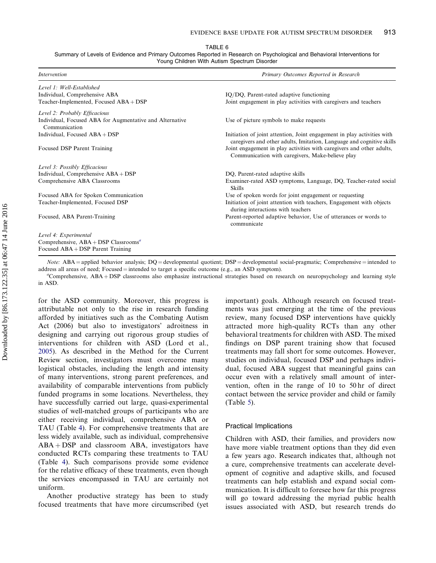TABLE 6

<span id="page-17-0"></span>Summary of Levels of Evidence and Primary Outcomes Reported in Research on Psychological and Behavioral Interventions for Young Children With Autism Spectrum Disorder

| <i>Intervention</i>                                                       | Primary Outcomes Reported in Research                                                                                                            |
|---------------------------------------------------------------------------|--------------------------------------------------------------------------------------------------------------------------------------------------|
| Level 1: Well-Established                                                 |                                                                                                                                                  |
| Individual, Comprehensive ABA                                             | IQ/DQ, Parent-rated adaptive functioning                                                                                                         |
| Teacher-Implemented, Focused ABA + DSP                                    | Joint engagement in play activities with caregivers and teachers                                                                                 |
| Level 2: Probably Efficacious                                             |                                                                                                                                                  |
| Individual, Focused ABA for Augmentative and Alternative<br>Communication | Use of picture symbols to make requests                                                                                                          |
| Individual, Focused $ABA + DSP$                                           | Initiation of joint attention, Joint engagement in play activities with<br>caregivers and other adults, Imitation, Language and cognitive skills |
| Focused DSP Parent Training                                               | Joint engagement in play activities with caregivers and other adults,<br>Communication with caregivers, Make-believe play                        |
| Level 3: Possibly Efficacious                                             |                                                                                                                                                  |
| Individual, Comprehensive ABA + DSP                                       | DQ, Parent-rated adaptive skills                                                                                                                 |
| Comprehensive ABA Classrooms                                              | Examiner-rated ASD symptoms, Language, DQ, Teacher-rated social<br><b>Skills</b>                                                                 |
| Focused ABA for Spoken Communication                                      | Use of spoken words for joint engagement or requesting                                                                                           |
| Teacher-Implemented, Focused DSP                                          | Initiation of joint attention with teachers, Engagement with objects<br>during interactions with teachers                                        |
| Focused, ABA Parent-Training                                              | Parent-reported adaptive behavior, Use of utterances or words to<br>communicate                                                                  |
| Level 4: Experimental                                                     |                                                                                                                                                  |
| Comprehensive, $ABA + DSP$ Classrooms <sup><i>a</i></sup>                 |                                                                                                                                                  |
| Focused $ABA + DSP$ Parent Training                                       |                                                                                                                                                  |

*Note:* ABA = applied behavior analysis;  $DQ$  = developmental quotient;  $DSP$  = developmental social-pragmatic; Comprehensive = intended to address all areas of need; Focused  $=$  intended to target a specific outcome (e.g., an ASD symptom).

"Comprehensive,  $ABA + DSP$  classrooms also emphasize instructional strategies based on research on neuropsychology and learning style in ASD.

for the ASD community. Moreover, this progress is attributable not only to the rise in research funding afforded by initiatives such as the Combating Autism Act (2006) but also to investigators' adroitness in designing and carrying out rigorous group studies of interventions for children with ASD (Lord et al., [2005\)](#page-23-0). As described in the Method for the Current Review section, investigators must overcome many logistical obstacles, including the length and intensity of many interventions, strong parent preferences, and availability of comparable interventions from publicly funded programs in some locations. Nevertheless, they have successfully carried out large, quasi-experimental studies of well-matched groups of participants who are either receiving individual, comprehensive ABA or TAU (Table [4\)](#page-7-0). For comprehensive treatments that are less widely available, such as individual, comprehensive  $ABA + DSP$  and classroom ABA, investigators have conducted RCTs comparing these treatments to TAU (Table [4](#page-7-0)). Such comparisons provide some evidence for the relative efficacy of these treatments, even though the services encompassed in TAU are certainly not uniform.

Another productive strategy has been to study focused treatments that have more circumscribed (yet important) goals. Although research on focused treatments was just emerging at the time of the previous review, many focused DSP interventions have quickly attracted more high-quality RCTs than any other behavioral treatments for children with ASD. The mixed findings on DSP parent training show that focused treatments may fall short for some outcomes. However, studies on individual, focused DSP and perhaps individual, focused ABA suggest that meaningful gains can occur even with a relatively small amount of intervention, often in the range of 10 to 50 hr of direct contact between the service provider and child or family (Table [5\)](#page-12-0).

#### Practical Implications

Children with ASD, their families, and providers now have more viable treatment options than they did even a few years ago. Research indicates that, although not a cure, comprehensive treatments can accelerate development of cognitive and adaptive skills, and focused treatments can help establish and expand social communication. It is difficult to foresee how far this progress will go toward addressing the myriad public health issues associated with ASD, but research trends do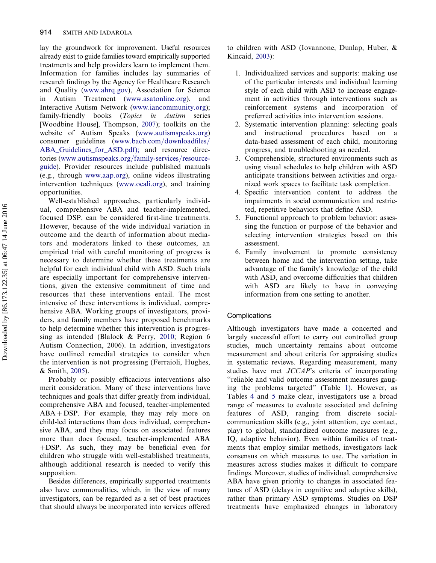lay the groundwork for improvement. Useful resources already exist to guide families toward empirically supported treatments and help providers learn to implement them. Information for families includes lay summaries of research findings by the Agency for Healthcare Research and Quality ([www.ahrq.gov\)](www.ahrq.gov), Association for Science in Autism Treatment [\(www.asatonline.org\)](www.asatonline.org), and Interactive Autism Network [\(www.iancommunity.org](www.iancommunity.org)); family-friendly books (Topics in Autism series [Woodbine House], Thompson, [2007\)](#page-25-0); toolkits on the website of Autism Speaks ([www.autismspeaks.org\)](www.autismspeaks.org) consumer guidelines ([www.bacb.com/downloadfiles/](www.bacb.com/downloadfiles/ABA_Guidelines_for_ASD.pdf) [ABA\\_Guidelines\\_for\\_ASD.pdf\)](www.bacb.com/downloadfiles/ABA_Guidelines_for_ASD.pdf); and resource directories [\(www.autismspeaks.org/family-services/resource](www.autismspeaks.org/family-services/resource-guide)[guide](www.autismspeaks.org/family-services/resource-guide)). Provider resources include published manuals (e.g., through [www.aap.org\)](www.aap.org), online videos illustrating intervention techniques [\(www.ocali.org\)](www.ocali.org), and training opportunities.

Well-established approaches, particularly individual, comprehensive ABA and teacher-implemented, focused DSP, can be considered first-line treatments. However, because of the wide individual variation in outcome and the dearth of information about mediators and moderators linked to these outcomes, an empirical trial with careful monitoring of progress is necessary to determine whether these treatments are helpful for each individual child with ASD. Such trials are especially important for comprehensive interventions, given the extensive commitment of time and resources that these interventions entail. The most intensive of these interventions is individual, comprehensive ABA. Working groups of investigators, providers, and family members have proposed benchmarks to help determine whether this intervention is progressing as intended (Blalock & Perry, [2010;](#page-21-0) Region 6 Autism Connection, 2006). In addition, investigators have outlined remedial strategies to consider when the intervention is not progressing (Ferraioli, Hughes, & Smith, [2005](#page-22-0)).

Probably or possibly efficacious interventions also merit consideration. Many of these interventions have techniques and goals that differ greatly from individual, comprehensive ABA and focused, teacher-implemented  $ABA + DSP$ . For example, they may rely more on child-led interactions than does individual, comprehensive ABA, and they may focus on associated features more than does focused, teacher-implemented ABA  $+$ DSP. As such, they may be beneficial even for children who struggle with well-established treatments, although additional research is needed to verify this supposition.

Besides differences, empirically supported treatments also have commonalities, which, in the view of many investigators, can be regarded as a set of best practices that should always be incorporated into services offered to children with ASD (Iovannone, Dunlap, Huber, & Kincaid, [2003](#page-22-0)):

- 1. Individualized services and supports: making use of the particular interests and individual learning style of each child with ASD to increase engagement in activities through interventions such as reinforcement systems and incorporation of preferred activities into intervention sessions.
- 2. Systematic intervention planning: selecting goals and instructional procedures based on data-based assessment of each child, monitoring progress, and troubleshooting as needed.
- 3. Comprehensible, structured environments such as using visual schedules to help children with ASD anticipate transitions between activities and organized work spaces to facilitate task completion.
- 4. Specific intervention content to address the impairments in social communication and restricted, repetitive behaviors that define ASD.
- 5. Functional approach to problem behavior: assessing the function or purpose of the behavior and selecting intervention strategies based on this assessment.
- 6. Family involvement to promote consistency between home and the intervention setting, take advantage of the family's knowledge of the child with ASD, and overcome difficulties that children with ASD are likely to have in conveying information from one setting to another.

## Complications

Although investigators have made a concerted and largely successful effort to carry out controlled group studies, much uncertainty remains about outcome measurement and about criteria for appraising studies in systematic reviews. Regarding measurement, many studies have met JCCAP's criteria of incorporating ''reliable and valid outcome assessment measures gauging the problems targeted'' (Table [1](#page-4-0)). However, as Tables [4](#page-7-0) and [5](#page-12-0) make clear, investigators use a broad range of measures to evaluate associated and defining features of ASD, ranging from discrete socialcommunication skills (e.g., joint attention, eye contact, play) to global, standardized outcome measures (e.g., IQ, adaptive behavior). Even within families of treatments that employ similar methods, investigators lack consensus on which measures to use. The variation in measures across studies makes it difficult to compare findings. Moreover, studies of individual, comprehensive ABA have given priority to changes in associated features of ASD (delays in cognitive and adaptive skills), rather than primary ASD symptoms. Studies on DSP treatments have emphasized changes in laboratory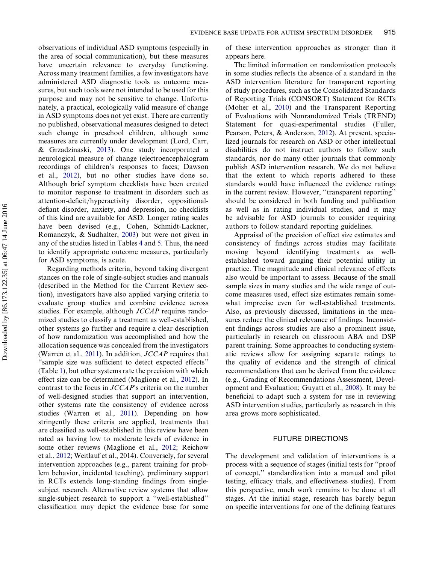observations of individual ASD symptoms (especially in the area of social communication), but these measures have uncertain relevance to everyday functioning. Across many treatment families, a few investigators have administered ASD diagnostic tools as outcome measures, but such tools were not intended to be used for this purpose and may not be sensitive to change. Unfortunately, a practical, ecologically valid measure of change in ASD symptoms does not yet exist. There are currently no published, observational measures designed to detect such change in preschool children, although some measures are currently under development (Lord, Carr, & Grzadzinaski, [2013\)](#page-23-0). One study incorporated a neurological measure of change (electroencephalogram recordings of children's responses to faces; Dawson et al., [2012](#page-21-0)), but no other studies have done so. Although brief symptom checklists have been created to monitor response to treatment in disorders such as attention-deficit/hyperactivity disorder, oppositionaldefiant disorder, anxiety, and depression, no checklists of this kind are available for ASD. Longer rating scales have been devised (e.g., Cohen, Schmidt-Lackner, Romanczyk, & Sudhalter, [2003\)](#page-21-0) but were not given in any of the studies listed in Tables [4](#page-7-0) and [5](#page-12-0). Thus, the need to identify appropriate outcome measures, particularly for ASD symptoms, is acute.

Regarding methods criteria, beyond taking divergent stances on the role of single-subject studies and manuals (described in the Method for the Current Review section), investigators have also applied varying criteria to evaluate group studies and combine evidence across studies. For example, although JCCAP requires randomized studies to classify a treatment as well-established, other systems go further and require a clear description of how randomization was accomplished and how the allocation sequence was concealed from the investigators (Warren et al., [2011](#page-26-0)). In addition,  $JCCAP$  requires that ''sample size was sufficient to detect expected effects'' (Table [1](#page-4-0)), but other systems rate the precision with which effect size can be determined (Maglione et al., [2012](#page-23-0)). In contrast to the focus in JCCAP's criteria on the number of well-designed studies that support an intervention, other systems rate the consistency of evidence across studies (Warren et al., [2011\)](#page-26-0). Depending on how stringently these criteria are applied, treatments that are classified as well-established in this review have been rated as having low to moderate levels of evidence in some other reviews (Maglione et al., [2012](#page-23-0); Reichow et al., [2012](#page-24-0); Weitlauf et al., 2014). Conversely, for several intervention approaches (e.g., parent training for problem behavior, incidental teaching), preliminary support in RCTs extends long-standing findings from singlesubject research. Alternative review systems that allow single-subject research to support a ''well-established'' classification may depict the evidence base for some of these intervention approaches as stronger than it appears here.

The limited information on randomization protocols in some studies reflects the absence of a standard in the ASD intervention literature for transparent reporting of study procedures, such as the Consolidated Standards of Reporting Trials (CONSORT) Statement for RCTs (Moher et al., [2010](#page-24-0)) and the Transparent Reporting of Evaluations with Nonrandomized Trials (TREND) Statement for quasi-experimental studies (Fuller, Pearson, Peters, & Anderson, [2012\)](#page-22-0). At present, specialized journals for research on ASD or other intellectual disabilities do not instruct authors to follow such standards, nor do many other journals that commonly publish ASD intervention research. We do not believe that the extent to which reports adhered to these standards would have influenced the evidence ratings in the current review. However, "transparent reporting" should be considered in both funding and publication as well as in rating individual studies, and it may be advisable for ASD journals to consider requiring authors to follow standard reporting guidelines.

Appraisal of the precision of effect size estimates and consistency of findings across studies may facilitate moving beyond identifying treatments as wellestablished toward gauging their potential utility in practice. The magnitude and clinical relevance of effects also would be important to assess. Because of the small sample sizes in many studies and the wide range of outcome measures used, effect size estimates remain somewhat imprecise even for well-established treatments. Also, as previously discussed, limitations in the measures reduce the clinical relevance of findings. Inconsistent findings across studies are also a prominent issue, particularly in research on classroom ABA and DSP parent training. Some approaches to conducting systematic reviews allow for assigning separate ratings to the quality of evidence and the strength of clinical recommendations that can be derived from the evidence (e.g., Grading of Recommendations Assessment, Development and Evaluation; Guyatt et al., [2008](#page-22-0)). It may be beneficial to adapt such a system for use in reviewing ASD intervention studies, particularly as research in this area grows more sophisticated.

## FUTURE DIRECTIONS

The development and validation of interventions is a process with a sequence of stages (initial tests for ''proof of concept,'' standardization into a manual and pilot testing, efficacy trials, and effectiveness studies). From this perspective, much work remains to be done at all stages. At the initial stage, research has barely begun on specific interventions for one of the defining features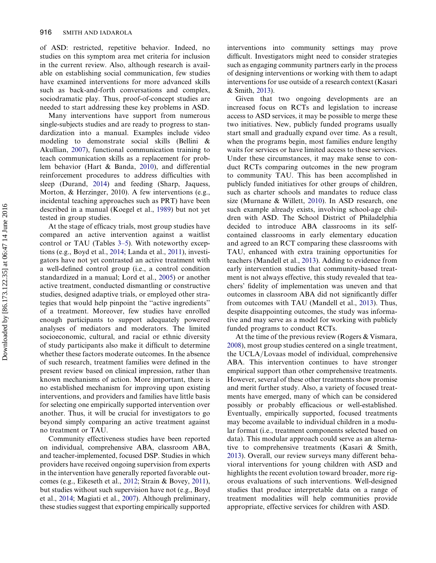of ASD: restricted, repetitive behavior. Indeed, no studies on this symptom area met criteria for inclusion in the current review. Also, although research is available on establishing social communication, few studies have examined interventions for more advanced skills such as back-and-forth conversations and complex, sociodramatic play. Thus, proof-of-concept studies are needed to start addressing these key problems in ASD.

Many interventions have support from numerous single-subjects studies and are ready to progress to standardization into a manual. Examples include video modeling to demonstrate social skills (Bellini & Akullian, [2007](#page-21-0)), functional communication training to teach communication skills as a replacement for problem behavior (Hart & Banda, [2010](#page-22-0)), and differential reinforcement procedures to address difficulties with sleep (Durand, [2014](#page-21-0)) and feeding (Sharp, Jaquess, Morton, & Herzinger, 2010). A few interventions (e.g., incidental teaching approaches such as PRT) have been described in a manual (Koegel et al., [1989\)](#page-23-0) but not yet tested in group studies.

At the stage of efficacy trials, most group studies have compared an active intervention against a waitlist control or TAU (Tables [3–5](#page-21-0)). With noteworthy exceptions (e.g., Boyd et al., [2014](#page-21-0); Landa et al., [2011\)](#page-23-0), investigators have not yet contrasted an active treatment with a well-defined control group (i.e., a control condition standardized in a manual; Lord et al., [2005](#page-23-0)) or another active treatment, conducted dismantling or constructive studies, designed adaptive trials, or employed other strategies that would help pinpoint the ''active ingredients'' of a treatment. Moreover, few studies have enrolled enough participants to support adequately powered analyses of mediators and moderators. The limited socioeconomic, cultural, and racial or ethnic diversity of study participants also make it difficult to determine whether these factors moderate outcomes. In the absence of such research, treatment families were defined in the present review based on clinical impression, rather than known mechanisms of action. More important, there is no established mechanism for improving upon existing interventions, and providers and families have little basis for selecting one empirically supported intervention over another. Thus, it will be crucial for investigators to go beyond simply comparing an active treatment against no treatment or TAU.

Community effectiveness studies have been reported on individual, comprehensive ABA, classroom ABA, and teacher-implemented, focused DSP. Studies in which providers have received ongoing supervision from experts in the intervention have generally reported favorable outcomes (e.g., Eikeseth et al., [2012](#page-21-0); Strain & Bovey, [2011](#page-25-0)), but studies without such supervision have not (e.g., Boyd et al., [2014;](#page-21-0) Magiati et al., [2007](#page-22-0)). Although preliminary, these studies suggest that exporting empirically supported

interventions into community settings may prove difficult. Investigators might need to consider strategies such as engaging community partners early in the process of designing interventions or working with them to adapt interventions for use outside of a research context (Kasari & Smith, [2013](#page-23-0)).

Given that two ongoing developments are an increased focus on RCTs and legislation to increase access to ASD services, it may be possible to merge these two initiatives. New, publicly funded programs usually start small and gradually expand over time. As a result, when the programs begin, most families endure lengthy waits for services or have limited access to these services. Under these circumstances, it may make sense to conduct RCTs comparing outcomes in the new program to community TAU. This has been accomplished in publicly funded initiatives for other groups of children, such as charter schools and mandates to reduce class size (Murnane & Willett, [2010](#page-24-0)). In ASD research, one such example already exists, involving school-age children with ASD. The School District of Philadelphia decided to introduce ABA classrooms in its selfcontained classrooms in early elementary education and agreed to an RCT comparing these classrooms with TAU, enhanced with extra training opportunities for teachers (Mandell et al., [2013\)](#page-24-0). Adding to evidence from early intervention studies that community-based treatment is not always effective, this study revealed that teachers' fidelity of implementation was uneven and that outcomes in classroom ABA did not significantly differ from outcomes with TAU (Mandell et al., [2013\)](#page-24-0). Thus, despite disappointing outcomes, the study was informative and may serve as a model for working with publicly funded programs to conduct RCTs.

At the time of the previous review (Rogers  $&$  Vismara, [2008](#page-24-0)), most group studies centered on a single treatment, the UCLA/Lovaas model of individual, comprehensive ABA. This intervention continues to have stronger empirical support than other comprehensive treatments. However, several of these other treatments show promise and merit further study. Also, a variety of focused treatments have emerged, many of which can be considered possibly or probably efficacious or well-established. Eventually, empirically supported, focused treatments may become available to individual children in a modular format (i.e., treatment components selected based on data). This modular approach could serve as an alternative to comprehensive treatments (Kasari & Smith, [2013](#page-23-0)). Overall, our review surveys many different behavioral interventions for young children with ASD and highlights the recent evolution toward broader, more rigorous evaluations of such interventions. Well-designed studies that produce interpretable data on a range of treatment modalities will help communities provide appropriate, effective services for children with ASD.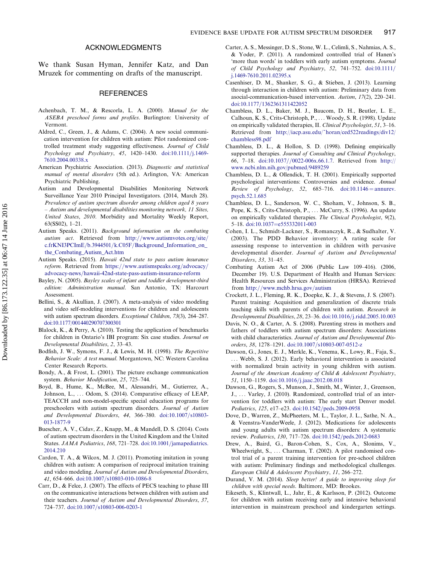## ACKNOWLEDGMENTS

<span id="page-21-0"></span>We thank Susan Hyman, Jennifer Katz, and Dan Mruzek for commenting on drafts of the manuscript.

#### **REFERENCES**

- Achenbach, T. M., & Rescorla, L. A. (2000). Manual for the ASEBA preschool forms and profiles. Burlington: University of Vermont.
- Aldred, C., Green, J., & Adams, C. (2004). A new social communication intervention for children with autism: Pilot randomized controlled treatment study suggesting effectiveness. Journal of Child Psychology and Psychiatry, 45, 1420-1430. [doi:10.1111](http://dx.doi.org/10.1111/j.1469-7610.2004.00338.x)/[j.1469-](http://dx.doi.org/10.1111/j.1469-7610.2004.00338.x) [7610.2004.00338.x](http://dx.doi.org/10.1111/j.1469-7610.2004.00338.x)
- American Psychiatric Association. (2013). Diagnostic and statistical manual of mental disorders (5th ed.). Arlington, VA: American Psychiatric Publishing.
- Autism and Developmental Disabilities Monitoring Network Surveillance Year 2010 Principal Investigators. (2014, March 28). Prevalence of autism spectrum disorder among children aged 8 years – Autism and developmental disabilities monitoring network, 11 Sites, United States, 2010. Morbidity and Mortality Weekly Report, 63(SS02), 1–21.
- Autism Speaks. (2011). Background information on the combating autism act. Retrieved from [http://www.autismvotes.org/site/](http://www.autismvotes.org/site/c.frKNI3PCImE/b.3944501/k.C05F/Background_Information_on_the_Combating_Autism_Act.htm) [c.frKNI3PCImE/b.3944501/k.C05F/Background\\_Information\\_on\\_](http://www.autismvotes.org/site/c.frKNI3PCImE/b.3944501/k.C05F/Background_Information_on_the_Combating_Autism_Act.htm) [the\\_Combating\\_Autism\\_Act.htm](http://www.autismvotes.org/site/c.frKNI3PCImE/b.3944501/k.C05F/Background_Information_on_the_Combating_Autism_Act.htm)
- Autism Speaks. (2015). Hawaii 42nd state to pass autism insurance reform. Retrieved from [https://www.autismspeaks.org/advocacy/](https://www.autismspeaks.org/advocacy/advocacy-news/hawaii-42nd-state-pass-autism-insurance-reform) [advocacy-news/hawaii-42nd-state-pass-autism-insurance-reform](https://www.autismspeaks.org/advocacy/advocacy-news/hawaii-42nd-state-pass-autism-insurance-reform)
- Bayley, N. (2005). Bayley scales of infant and toddler development-third edition: Administration manual. San Antonio, TX: Harcourt Assessment.
- Bellini, S., & Akullian, J. (2007). A meta-analysis of video modeling and video self-modeling interventions for children and adolescents with autism spectrum disorders. Exceptional Children, 73(3), 264–287. [doi:10.1177/001440290707300301](http://dx.doi.org/10.1177/001440290707300301)
- Blalock, K., & Perry, A. (2010). Testing the application of benchmarks for children in Ontario's IBI program: Six case studies. Journal on Developmental Disabilities, 2, 33–43.
- Bodfish, J. W., Symons, F. J., & Lewis, M. H. (1998). The Repetitive Behavior Scale: A test manual. Morgantown, NC: Western Carolina Center Research Reports.
- Bondy, A., & Frost, L. (2001). The picture exchange communication system. Behavior Modification, 25, 725–744.
- Boyd, B., Hume, K., McBee, M., Alessandri, M., Gutierrez, A., Johnson, L., ... Odom, S. (2014). Comparative efficacy of LEAP, TEACCH and non-model-specific special education programs for preschoolers with autism spectrum disorders. Journal of Autism and Developmental Disorders,  $44$ ,  $366-380$ . [doi:10.1007](http://dx.doi.org/10.1007/s10803-013-1877-9)/[s10803-](http://dx.doi.org/10.1007/s10803-013-1877-9) [013-1877-9](http://dx.doi.org/10.1007/s10803-013-1877-9)
- Buescher, A. V., Cidav, Z., Knapp, M., & Mandell, D. S. (2014). Costs of autism spectrum disorders in the United Kingdom and the United States. JAMA Pediatrics, 168, 721-728. [doi:10.1001](http://dx.doi.org/10.1001/jamapediatrics.2014.210)/[jamapediatrics.](http://dx.doi.org/10.1001/jamapediatrics.2014.210) [2014.210](http://dx.doi.org/10.1001/jamapediatrics.2014.210)
- Cardon, T. A., & Wilcox, M. J. (2011). Promoting imitation in young children with autism: A comparison of reciprocal imitation training and video modeling. Journal of Autism and Developmental Disorders, 41, 654–666, [doi:10.1007](http://dx.doi.org/10.1007/s10803-010-1086-8)/[s10803-010-1086-8](http://dx.doi.org/10.1007/s10803-010-1086-8)
- Carr, D., & Felce, J. (2007). The effects of PECS teaching to phase III on the communicative interactions between children with autism and their teachers. Journal of Autism and Developmental Disorders, 37, 724–737. [doi:10.1007](http://dx.doi.org/10.1007/s10803-006-0203-1)/[s10803-006-0203-1](http://dx.doi.org/10.1007/s10803-006-0203-1)
- Carter, A. S., Messinger, D. S., Stone, W. L., Celimli, S., Nahmias, A. S., & Yoder, P. (2011). A randomized controlled trial of Hanen's 'more than words' in toddlers with early autism symptoms. Journal of Child Psychology and Psychiatry, 52, 741-752. [doi:10.1111](http://dx.doi.org/10.1111/j.1469-7610.2011.02395.x)/ [j.1469-7610.2011.02395.x](http://dx.doi.org/10.1111/j.1469-7610.2011.02395.x)
- Casenhiser, D. M., Shanker, S. G., & Stieben, J. (2013). Learning through interaction in children with autism: Preliminary data from asocial-communication-based intervention. Autism, 17(2), 220–241. [doi:10.1177](http://dx.doi.org/10.1177/1362361311422052)/[1362361311422052](http://dx.doi.org/10.1177/1362361311422052)
- Chambless, D. L., Baker, M. J., Baucom, D. H., Beutler, L. E., Calhoun, K. S., Crits-Christoph, P., ... Woody, S. R. (1998). Update on empirically validated therapies, II. Clinical Psychologist, 51, 3–16. Retrieved from [http://iacp.asu.edu/~horan/ced522readings/div12/](http://iacp.asu.edu/~horan/ced522readings/div12/chambless98.pdf) [chambless98.pdf](http://iacp.asu.edu/~horan/ced522readings/div12/chambless98.pdf)
- Chambless, D. L., & Hollon, S. D. (1998). Defining empirically supported therapies. Journal of Consulting and Clinical Psychology, 66, 7-18. [doi:10.1037](http://dx.doi.org/10.1037//0022-006x.66.1.7)//[0022-006x.66.1.7](http://dx.doi.org/10.1037//0022-006x.66.1.7). Retrieved from [http://](http://www.ncbi.nlm.nih.gov/pubmed/9489259) [www.ncbi.nlm.nih.gov/pubmed/9489259](http://www.ncbi.nlm.nih.gov/pubmed/9489259)
- Chambless, D. L., & Ollendick, T. H. (2001). Empirically supported psychological interventions: Controversies and evidence. Annual Review of Psychology, 52, 685–716. [doi:10.1146](http://dx.doi.org/10.1146 = annurev.psych.52.1.685) = [annurev.](http://dx.doi.org/10.1146 = annurev.psych.52.1.685) [psych.52.1.685](http://dx.doi.org/10.1146 = annurev.psych.52.1.685)
- Chambless, D. L., Sanderson, W. C., Shoham, V., Johnson, S. B., Pope, K. S., Crits-Christoph, P., ... McCurry, S. (1996). An update on empirically validated therapies. The Clinical Psychologist, 9(2), 5–18. [doi:10.1037](http://dx.doi.org/10.1037=e555332011-003)=[e555332011-003](http://dx.doi.org/10.1037=e555332011-003)
- Cohen, I. L., Schmidt-Lackner, S., Romanczyk, R., & Sudhalter, V. (2003). The PDD Behavior inventory: A rating scale for assessing response to intervention in children with pervasive developmental disorder. Journal of Autism and Developmental Disorders, 33, 31–45.
- Combating Autism Act of 2006 (Public Law 109–416). (2006, December 19). U.S. Department of Health and Human Services: Health Resources and Services Administration (HRSA). Retrieved from <http://www.mchb.hrsa.gov/autism>
- Crockett, J. L., Fleming, R. K., Doepke, K. J., & Stevens, J. S. (2007). Parent training: Acquisition and generalization of discrete trials teaching skills with parents of children with autism. Research in Developmental Disabilities, 28, 23-36. [doi:10.1016](http://dx.doi.org/10.1016/j.ridd.2005.10.003)/[j.ridd.2005.10.003](http://dx.doi.org/10.1016/j.ridd.2005.10.003)
- Davis, N. O., & Carter, A. S. (2008). Parenting stress in mothers and fathers of toddlers with autism spectrum disorders: Associations with child characteristics. Journal of Autism and Developmental Disorders, 38, 1278-1291. [doi:10.1007](http://dx.doi.org/10.1007/s10803-007-0512-z)/[s10803-007-0512-z](http://dx.doi.org/10.1007/s10803-007-0512-z)
- Dawson, G., Jones, E. J., Merkle, K., Venema, K., Lowy, R., Faja, S., ... Webb, S. J. (2012). Early behavioral intervention is associated with normalized brain activity in young children with autism. Journal of the American Academy of Child & Adolescent Psychiatry, 51, 1150–1159. [doi:10.1016](http://dx.doi.org/10.1016/j.jaac.2012.08.018)/[j.jaac.2012.08.018](http://dx.doi.org/10.1016/j.jaac.2012.08.018)
- Dawson, G., Rogers, S., Munson, J., Smith, M., Winter, J., Greenson, J., ... Varley, J. (2010). Randomized, controlled trial of an intervention for toddlers with autism: The early start Denver model. Pediatrics, 125, e17-e23. [doi:10.1542](http://dx.doi.org/10.1542/peds.2009-0958)/[peds.2009-0958](http://dx.doi.org/10.1542/peds.2009-0958)
- Dove, D., Warren, Z., McPheeters, M. L., Taylor, J. L., Sathe, N. A., & Veenstra-VanderWeele, J. (2012). Medications for adolescents and young adults with autism spectrum disorders: A systematic review. Pediatrics, 130, 717-726. [doi:10.1542](http://dx.doi.org/10.1542/peds.2012-0683)/[peds.2012-0683](http://dx.doi.org/10.1542/peds.2012-0683)
- Drew, A., Baird, G., Baron-Cohen, S., Cox, A., Slonims, V., Wheelwright, S., ... Charman, T. (2002). A pilot randomised control trial of a parent training intervention for pre-school children with autism: Preliminary findings and methodological challenges. European Child & Adolescent Psychiatry, 11, 266–272.
- Durand, V. M. (2014). Sleep better! A guide to improving sleep for children with special needs. Baltimore, MD: Brookes.
- Eikeseth, S., Klintwall, L., Jahr, E., & Karlsson, P. (2012). Outcome for children with autism receiving early and intensive behavioral intervention in mainstream preschool and kindergarten settings.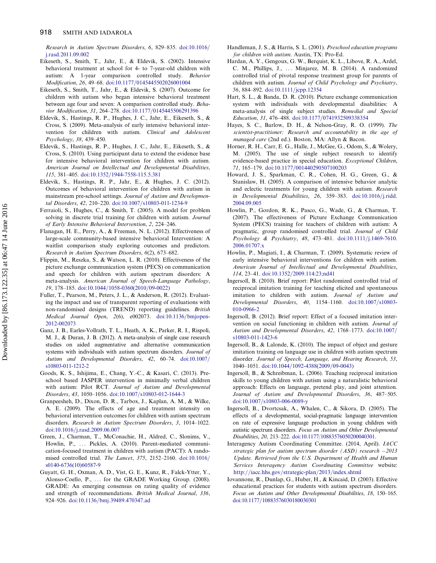<span id="page-22-0"></span>Research in Autism Spectrum Disorders, 6, 829-835. [doi:10.1016](http://dx.doi.org/10.1016/j.rasd.2011.09.002)/ [j.rasd.2011.09.002](http://dx.doi.org/10.1016/j.rasd.2011.09.002)

- Eikeseth, S., Smith, T., Jahr, E., & Eldevik, S. (2002). Intensive behavioral treatment at school for 4- to 7-year-old children with autism: A 1-year comparison controlled study. Behavior Modification, 26, 49-68. [doi:10.1177](http://dx.doi.org/10.1177/0145445502026001004)/[0145445502026001004](http://dx.doi.org/10.1177/0145445502026001004)
- Eikeseth, S., Smith, T., Jahr, E., & Eldevik, S. (2007). Outcome for children with autism who began intensive behavioral treatment between age four and seven: A comparison controlled study. Behavior Modification, 31, 264-278. [doi:10.1177](http://dx.doi.org/10.1177/0145445506291396)/[0145445506291396](http://dx.doi.org/10.1177/0145445506291396)
- Eldevik, S., Hastings, R. P., Hughes, J. C., Jahr, E., Eikeseth, S., & Cross, S. (2009). Meta-analysis of early intensive behavioral intervention for children with autism. Clinical and Adolescent Psychology, 38, 439–450.
- Eldevik, S., Hastings, R. P., Hughes, J. C., Jahr, E., Eikeseth, S., & Cross, S. (2010). Using participant data to extend the evidence base for intensive behavioral intervention for children with autism. American Journal on Intellectual and Developmental Disabilities, 115, 381-405. [doi:10.1352](http://dx.doi.org/10.1352/1944-7558-115.5.381)/[1944-7558-115.5.381](http://dx.doi.org/10.1352/1944-7558-115.5.381)
- Eldevik, S., Hastings, R. P., Jahr, E., & Hughes, J. C. (2012). Outcomes of behavioral intervention for children with autism in mainstream pre-school settings. Journal of Autism and Developmental Disorders, 42, 210-220. [doi:10.1007](http://dx.doi.org/10.1007/s10803-011-1234-9)/[s10803-011-1234-9](http://dx.doi.org/10.1007/s10803-011-1234-9)
- Ferraioli, S., Hughes, C., & Smith, T. (2005). A model for problem solving in discrete trial training for children with autism. Journal of Early Intensive Behavioral Intervention, 2, 224–246.
- Flanagan, H. E., Perry, A., & Freeman, N. L. (2012). Effectiveness of large-scale community-based intensive behavioral Intervention: A waitlist comparison study exploring outcomes and predictors. Research in Autism Spectrum Disorders, 6(2), 673–682.
- Flippin, M., Reszka, S., & Watson, L. R. (2010). Effectiveness of the picture exchange communication system (PECS) on communication and speech for children with autism spectrum disorders: A meta-analysis. American Journal of Speech-Language Pathology, 19, 178-185. [doi:10.1044](http://dx.doi.org/10.1044/1058-0360(2010/09-0022))/[1058-0360\(2010](http://dx.doi.org/10.1044/1058-0360(2010/09-0022))/[09-0022\)](http://dx.doi.org/10.1044/1058-0360(2010/09-0022))
- Fuller, T., Pearson, M., Peters, J. L., & Anderson, R. (2012). Evaluating the impact and use of transparent reporting of evaluations with non-randomised designs (TREND) reporting guidelines. British Medical Journal Open, 2(6), e002073. [doi:10.1136](http://dx.doi.org/10.1136/bmjopen-2012-002073)/[bmjopen-](http://dx.doi.org/10.1136/bmjopen-2012-002073)[2012-002073](http://dx.doi.org/10.1136/bmjopen-2012-002073)
- Ganz, J. B., Earles-Vollrath, T. L., Heath, A. K., Parker, R. I., Rispoli, M. J., & Duran, J. B. (2012). A meta-analysis of single case research studies on aided augmentative and alternative communication systems with individuals with autism spectrum disorders. Journal of Autism and Developmental Disorders, 42, 60-74. [doi:10.1007](http://dx.doi.org/10.1007/s10803-011-1212-2)/ [s10803-011-1212-2](http://dx.doi.org/10.1007/s10803-011-1212-2)
- Goods, K. S., Ishijima, E., Chang, Y.-C., & Kasari, C. (2013). Preschool based JASPER intervention in minimally verbal children with autism: Pilot RCT. Journal of Autism and Developmental Disorders, 43, 1050-1056. [doi:10.1007](http://dx.doi.org/10.1007/s10803-012-1644-3)/[s10803-012-1644-3](http://dx.doi.org/10.1007/s10803-012-1644-3)
- Granpeesheh, D., Dixon, D. R., Tarbox, J., Kaplan, A. M., & Wilke, A. E. (2009). The effects of age and treatment intensity on behavioral intervention outcomes for children with autism spectrum disorders. Research in Autism Spectrum Disorders, 3, 1014–1022. [doi:10.1016](http://dx.doi.org/10.1016/j.rasd.2009.06.007)/[j.rasd.2009.06.007](http://dx.doi.org/10.1016/j.rasd.2009.06.007)
- Green, J., Charman, T., McConachie, H., Aldred, C., Slonims, V., Howlin, P., ... Pickles, A. (2010). Parent-mediated communication-focused treatment in children with autism (PACT): A randomised controlled trial. The Lancet, 375, 2152-2160. [doi:10.1016](http://dx.doi.org/10.1016/s0140-6736(10)60587-9)/ [s0140-6736\(10\)60587-9](http://dx.doi.org/10.1016/s0140-6736(10)60587-9)
- Guyatt, G. H., Oxman, A. D., Vist, G. E., Kunz, R., Falck-Ytter, Y., Alonso-Coello, P., ... for the GRADE Working Group. (2008). GRADE: An emerging consensus on rating quality of evidence and strength of recommendations. British Medical Journal, 336, 924–926. [doi:10.1136](http://dx.doi.org/10.1136/bmj.39489.470347.ad)/[bmj.39489.470347.ad](http://dx.doi.org/10.1136/bmj.39489.470347.ad)
- Handleman, J. S., & Harris, S. L. (2001). Preschool education programs for children with autism. Austin, TX: Pro-Ed.
- Hardan, A. Y., Gengoux, G. W., Berquist, K. L., Libove, R. A., Ardel, C. M., Phillips, J., ... Minjarez, M. B. (2014). A randomized controlled trial of pivotal response treatment group for parents of children with autism. Journal of Child Psychology and Psychiatry, 56, 884-892. [doi:10.1111](http://dx.doi.org/10.1111/jcpp.12354)/[jcpp.12354](http://dx.doi.org/10.1111/jcpp.12354)
- Hart, S. L., & Banda, D. R. (2010). Picture exchange communication system with individuals with developmental disabilities: A meta-analysis of single subject studies. Remedial and Special Education, 31, 476-488. [doi:10.1177](http://dx.doi.org/10.1177/0741932509338354)/[0741932509338354](http://dx.doi.org/10.1177/0741932509338354)
- Hayes, S. C., Barlow, D. H., & Nelson-Gray, R. O. (1999). The scientist-practitioner: Research and accountability in the age of managed care (2nd ed.). Boston, MA: Allyn & Bacon.
- Horner, R. H., Carr, E. G., Halle, J., McGee, G., Odom, S., & Wolery, M. (2005). The use of single subject research to identify evidence-based practice in special education. Exceptional Children, 71, 165-179. [doi:10.1177](http://dx.doi.org/10.1177/001440290507100203)/[001440290507100203](http://dx.doi.org/10.1177/001440290507100203)
- Howard, J. S., Sparkman, C. R., Cohen, H. G., Green, G., & Stanislaw, H. (2005). A comparison of intensive behavior analytic and eclectic treatments for young children with autism. Research in Developmental Disabilities, 26, 359-383. [doi:10.1016](http://dx.doi.org/10.1016/j.ridd.2004.09.005)/[j.ridd.](http://dx.doi.org/10.1016/j.ridd.2004.09.005) [2004.09.005](http://dx.doi.org/10.1016/j.ridd.2004.09.005)
- Howlin, P., Gordon, R. K., Pasco, G., Wade, G., & Charman, T. (2007). The effectiveness of Picture Exchange Communication System (PECS) training for teachers of children with autism: A pragmatic, group randomised controlled trial. Journal of Child  $Psychology & Psychiatry, 48, 473–481. doi:10.1111/j.1469-7610.$  $Psychology & Psychiatry, 48, 473–481. doi:10.1111/j.1469-7610.$  $Psychology & Psychiatry, 48, 473–481. doi:10.1111/j.1469-7610.$  $Psychology & Psychiatry, 48, 473–481. doi:10.1111/j.1469-7610.$ [2006.01707.x](http://dx.doi.org/10.1111/j.1469-7610.2006.01707.x)
- Howlin, P., Magiati, I., & Charman, T. (2009). Systematic review of early intensive behavioral interventions for children with autism. American Journal of Intellectual and Developmental Disabilities, 114, 23-41. [doi:10.1352](http://dx.doi.org/10.1352/2009.114:23;nd41)/[2009.114:23;nd41](http://dx.doi.org/10.1352/2009.114:23;nd41)
- Ingersoll, B. (2010). Brief report: Pilot randomized controlled trial of reciprocal imitation training for teaching elicited and spontaneous imitation to children with autism. Journal of Autism and Developmental Disorders, 40, 1154-1160. [doi:10.1007](http://dx.doi.org/10.1007/s10803-010-0966-2)/[s10803-](http://dx.doi.org/10.1007/s10803-010-0966-2) [010-0966-2](http://dx.doi.org/10.1007/s10803-010-0966-2)
- Ingersoll, B. (2012). Brief report: Effect of a focused imitation intervention on social functioning in children with autism. Journal of Autism and Developmental Disorders, 42, 1768-1773. [doi:10.1007](http://dx.doi.org/10.1007/s10803-011-1423-6)/ [s10803-011-1423-6](http://dx.doi.org/10.1007/s10803-011-1423-6)
- Ingersoll, B., & Lalonde, K. (2010). The impact of object and gesture imitation training on language use in children with autism spectrum disorder. Journal of Speech, Language, and Hearing Research, 53, 1040–1051. [doi:10.1044](http://dx.doi.org/10.1080/15374416.2015.1077448)/[1092-4388\(2009](http://dx.doi.org/10.1080/15374416.2015.1077448)/[09-0043\)](http://dx.doi.org/10.1080/15374416.2015.1077448)
- Ingersoll, B., & Schreibman, L. (2006). Teaching reciprocal imitation skills to young children with autism using a naturalistic behavioral approach: Effects on language, pretend play, and joint attention. Journal of Autism and Developmental Disorders, 36, 487–505. [doi:10.1007](mailto:Tristram_Smith@URMC.Rochester.edu)/[s10803-006-0089-y](mailto:Tristram_Smith@URMC.Rochester.edu)
- Ingersoll, B., Dvortcsak, A., Whalen, C., & Sikora, D. (2005). The effects of a developmental, social-pragmatic language intervention on rate of expressive language production in young children with autistic spectrum disorders. Focus on Autism and Other Developmental Disabilities, 20, 213–222. [doi:10.1177/10883576050200040301.](http://dx.doi.org/10.1177/10883576050200040301)
- Interagency Autism Coordinating Committee. (2014, April). IACC strategic plan for autism spectrum disorder (ASD) research -2013 Update. Retrieved from the U.S. Department of Health and Human Services Interagency Autism Coordinating Committee website: <http://iacc.hhs.gov/strategic-plan/2013/index.shtml>
- Iovannone, R., Dunlap, G., Huber, H., & Kincaid, D. (2003). Effective educational practices for students with autism spectrum disorders. Focus on Autism and Other Developmental Disabilities, 18, 150–165. [doi:10.1177](http://dx.doi.org/10.1177/10883576030180030301)/[10883576030180030301](http://dx.doi.org/10.1177/10883576030180030301)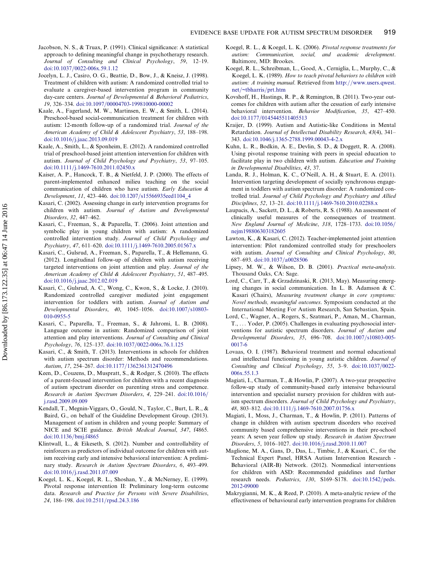- <span id="page-23-0"></span>Jacobson, N. S., & Truax, P. (1991). Clinical significance: A statistical approach to defining meaningful change in psychotherapy research. Journal of Consulting and Clinical Psychology, 59, 12–19. [doi:10.1037](http://dx.doi.org/10.1037/0022-006x.59.1.12)/[0022-006x.59.1.12](http://dx.doi.org/10.1037/0022-006x.59.1.12)
- Jocelyn, L. J., Casiro, O. G., Beattie, D., Bow, J., & Kneisz, J. (1998). Treatment of children with autism: A randomized controlled trial to evaluate a caregiver-based intervention program in community day-care centers. Journal of Developmental & Behavioral Pediatrics, 19, 326-334. [doi:10.1097](http://dx.doi.org/10.1097/00004703-199810000-00002)/[00004703-199810000-00002](http://dx.doi.org/10.1097/00004703-199810000-00002)
- Kaale, A., Fagerland, M. W., Martinsen, E. W., & Smith, L. (2014). Preschool-based social-communication treatment for children with autism: 12-month follow-up of a randomized trial. Journal of the American Academy of Child & Adolescent Psychiatry, 53, 188–198. [doi:10.1016](http://dx.doi.org/10.1016/j.jaac.2013.09.019)/[j.jaac.2013.09.019](http://dx.doi.org/10.1016/j.jaac.2013.09.019)
- Kaale, A., Smith, L., & Sponheim, E. (2012). A randomized controlled trial of preschool-based joint attention intervention for children with autism. Journal of Child Psychology and Psychiatry, 53, 97–105. [doi:10.1111](http://dx.doi.org/10.1111/j.1469-7610.2011.02450.x)/[j.1469-7610.2011.02450.x](http://dx.doi.org/10.1111/j.1469-7610.2011.02450.x)
- Kaiser, A. P., Hancock, T. B., & Nietfeld, J. P. (2000). The effects of parent-implemented enhanced milieu teaching on the social communication of children who have autism. Early Education & Development, 11, 423-446. [doi:10.1207](http://dx.doi.org/10.1207/s15566935eed1104_4)/[s15566935eed1104\\_4](http://dx.doi.org/10.1207/s15566935eed1104_4)
- Kasari, C. (2002). Assessing change in early intervention programs for children with autism. Journal of Autism and Developmental Disorders, 32, 447–462.
- Kasari, C., Freeman, S., & Paparella, T. (2006). Joint attention and symbolic play in young children with autism: A randomized controlled intervention study. Journal of Child Psychology and Psychiatry, 47, 611-620. [doi:10.1111](http://dx.doi.org/10.1111/j.1469-7610.2005.01567.x)/[j.1469-7610.2005.01567.x](http://dx.doi.org/10.1111/j.1469-7610.2005.01567.x)
- Kasari, C., Gulsrud, A., Freeman, S., Paparella, T., & Hellemann, G. (2012). Longitudinal follow-up of children with autism receiving targeted interventions on joint attention and play. Journal of the American Academy of Child & Adolescent Psychiatry, 51, 487–495. [doi:10.1016](http://dx.doi.org/10.1016/j.jaac.2012.02.019)/[j.jaac.2012.02.019](http://dx.doi.org/10.1016/j.jaac.2012.02.019)
- Kasari, C., Gulsrud, A. C., Wong, C., Kwon, S., & Locke, J. (2010). Randomized controlled caregiver mediated joint engagement intervention for toddlers with autism. Journal of Autism and Developmental Disorders, 40, 1045-1056. [doi:10.1007](http://dx.doi.org/10.1007/s10803-010-0955-5)/[s10803-](http://dx.doi.org/10.1007/s10803-010-0955-5) [010-0955-5](http://dx.doi.org/10.1007/s10803-010-0955-5)
- Kasari, C., Paparella, T., Freeman, S., & Jahromi, L. B. (2008). Language outcome in autism: Randomized comparison of joint attention and play interventions. Journal of Consulting and Clinical Psychology, 76, 125-137. [doi:10.1037](http://dx.doi.org/10.1037/0022-006x.76.1.125)/[0022-006x.76.1.125](http://dx.doi.org/10.1037/0022-006x.76.1.125)
- Kasari, C., & Smith, T. (2013). Interventions in schools for children with autism spectrum disorder: Methods and recommendations. Autism, 17, 254-267. [doi:10.1177](http://dx.doi.org/10.1177/1362361312470496)/[1362361312470496](http://dx.doi.org/10.1177/1362361312470496)
- Keen, D., Couzens, D., Muspratt, S., & Rodger, S. (2010). The effects of a parent-focused intervention for children with a recent diagnosis of autism spectrum disorder on parenting stress and competence. Research in Autism Spectrum Disorders, 4, 229-241. [doi:10.1016](http://dx.doi.org/10.1016/j.rasd.2009.09.009)/ [j.rasd.2009.09.009](http://dx.doi.org/10.1016/j.rasd.2009.09.009)
- Kendall, T., Megnin-Viggars, O., Gould, N., Taylor, C., Burt, L. R., & Baird, G., on behalf of the Guideline Development Group. (2013). Management of autism in children and young people: Summary of NICE and SCIE guidance. British Medical Journal, 347, f4865. [doi:10.1136](http://dx.doi.org/10.1136/bmj.f4865)/[bmj.f4865](http://dx.doi.org/10.1136/bmj.f4865)
- Klintwall, L., & Eikeseth, S. (2012). Number and controllability of reinforcers as predictors of individual outcome for children with autism receiving early and intensive behavioral intervention: A preliminary study. Research in Autism Spectrum Disorders, 6, 493–499. [doi:10.1016](http://dx.doi.org/10.1016/j.rasd.2011.07.009)/[j.rasd.2011.07.009](http://dx.doi.org/10.1016/j.rasd.2011.07.009)
- Koegel, L. K., Koegel, R. L., Shoshan, Y., & McNerney, E. (1999). Pivotal response intervention II: Preliminary long-term outcome data. Research and Practice for Persons with Severe Disabilities, 24, 186-198. [doi:10.2511](http://dx.doi.org/10.2511/rpsd.24.3.186)/[rpsd.24.3.186](http://dx.doi.org/10.2511/rpsd.24.3.186)
- Koegel, R. L., & Koegel, L. K. (2006). Pivotal response treatments for autism: Communication, social, and academic development. Baltimore, MD: Brookes.
- Koegel, R. L., Schreibman, L., Good, A., Cerniglia, L., Murphy, C., & Koegel, L. K. (1989). How to teach pivotal behaviors to children with autism: A training manual. Retrieved from [http://www.users.qwest.](http://www.users.qwest.net/~tbharris/prt.htm) [net/~tbharris/prt.htm](http://www.users.qwest.net/~tbharris/prt.htm)
- Kovshoff, H., Hastings, R. P., & Remington, B. (2011). Two-year outcomes for children with autism after the cessation of early intensive behavioral intervention. Behavior Modification, 35, 427–450. [doi:10.1177](http://dx.doi.org/10.1177/0145445511405513)/[0145445511405513](http://dx.doi.org/10.1177/0145445511405513)
- Kraijer, D. (1999). Autism and Autistic-like Conditions in Mental Retardation. Journal of Intellectual Disability Research, 43(4), 341– 343. [doi:10.1046/j.1365-2788.1999.00043-4-2.x](http://dx.doi.org/10.1046/j.1365-2788.1999.00043-4-2.x)
- Kuhn, L. R., Bodkin, A. E., Devlin, S. D., & Doggett, R. A. (2008). Using pivotal response training with peers in special education to facilitate play in two children with autism. Education and Training in Developmental Disabilities, 43, 37.
- Landa, R. J., Holman, K. C., O'Neill, A. H., & Stuart, E. A. (2011). Intervention targeting development of socially synchronous engagement in toddlers with autism spectrum disorder: A randomized controlled trial. Journal of Child Psychology and Psychiatry and Allied Disciplines, 52, 13-21. [doi:10.1111](http://dx.doi.org/10.1111/j.1469-7610.2010.02288.x)/[j.1469-7610.2010.02288.x](http://dx.doi.org/10.1111/j.1469-7610.2010.02288.x)
- Laupacis, A., Sackett, D. L., & Roberts, R. S. (1988). An assessment of clinically useful measures of the consequences of treatment. New England Journal of Medicine, 318, 1728-1733. [doi:10.1056](http://dx.doi.org/10.1056/nejm198806303182605)/ [nejm198806303182605](http://dx.doi.org/10.1056/nejm198806303182605)
- Lawton, K., & Kasari, C. (2012). Teacher-implemented joint attention intervention: Pilot randomized controlled study for preschoolers with autism. Journal of Consulting and Clinical Psychology, 80, 687–693. [doi:10.1037](http://dx.doi.org/10.1037/a0028506)/[a0028506](http://dx.doi.org/10.1037/a0028506)
- Lipsey, M. W., & Wilson, D. B. (2001). Practical meta-analysis. Thousand Oaks, CA: Sage.
- Lord, C., Carr, T., & Grzadzinaski, R. (2013, May). Measuring emerging changes in social communication. In L. B. Adamson & C. Kasari (Chairs), Measuring treatment change in core symptoms: Novel methods, meaningful outcomes. Symposium conducted at the International Meeting For Autism Research, San Sebastian, Spain.
- Lord, C., Wagner, A., Rogers, S., Szatmari, P., Aman, M., Charman, T., ... Yoder, P. (2005). Challenges in evaluating psychosocial interventions for autistic spectrum disorders. Journal of Autism and Developmental Disorders, 35, 696-708. [doi:10.1007](http://dx.doi.org/10.1007/s10803-005-0017-6)/[s10803-005-](http://dx.doi.org/10.1007/s10803-005-0017-6) [0017-6](http://dx.doi.org/10.1007/s10803-005-0017-6)
- Lovaas, O. I. (1987). Behavioral treatment and normal educational and intellectual functioning in young autistic children. Journal of Consulting and Clinical Psychology, 55, 3-9. [doi:10.1037](http://dx.doi.org/10.1037/0022-006x.55.1.3)/[0022-](http://dx.doi.org/10.1037/0022-006x.55.1.3) [006x.55.1.3](http://dx.doi.org/10.1037/0022-006x.55.1.3)
- Magiati, I., Charman, T., & Howlin, P. (2007). A two-year prospective follow-up study of community-based early intensive behavioural intervention and specialist nursery provision for children with autism spectrum disorders. Journal of Child Psychology and Psychiatry, 48, 803-812. [doi:10.1111](http://dx.doi.org/10.1111/j.1469-7610.2007.01756.x)/[j.1469-7610.2007.01756.x](http://dx.doi.org/10.1111/j.1469-7610.2007.01756.x)
- Magiati, I., Moss, J., Charman, T., & Howlin, P. (2011). Patterns of change in children with autism spectrum disorders who received community based comprehensive interventions in their pre-school years: A seven year follow up study. Research in Autism Spectrum Disorders, 5, 1016-1027. [doi:10.1016](http://dx.doi.org/10.1016/j.rasd.2010.11.007)/[j.rasd.2010.11.007](http://dx.doi.org/10.1016/j.rasd.2010.11.007)
- Maglione, M. A., Gans, D., Das, L., Timbie, J., & Kasari, C., for the Technical Expert Panel, HRSA Autism Intervention Research - Behavioral (AIR-B) Network. (2012). Nonmedical interventions for children with ASD: Recommended guidelines and further research needs. Pediatrics, 130, S169-S178. [doi:10.1542](http://dx.doi.org/10.1542/peds.2012-09000)/[peds.](http://dx.doi.org/10.1542/peds.2012-09000) [2012-09000](http://dx.doi.org/10.1542/peds.2012-09000)
- Makrygianni, M. K., & Reed, P. (2010). A meta-analytic review of the effectiveness of behavioural early intervention programs for children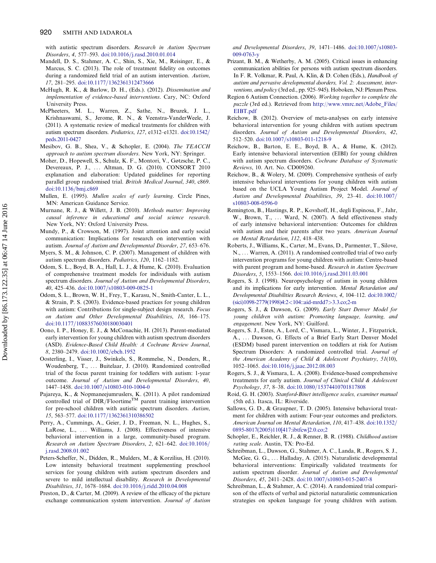<span id="page-24-0"></span>with autistic spectrum disorders. Research in Autism Spectrum Disorders, 4, 577-593. [doi:10.1016](http://dx.doi.org/10.1016/j.rasd.2010.01.014)/[j.rasd.2010.01.014](http://dx.doi.org/10.1016/j.rasd.2010.01.014)

- Mandell, D. S., Stahmer, A. C., Shin, S., Xie, M., Reisinger, E., & Marcus, S. C. (2013). The role of treatment fidelity on outcomes during a randomized field trial of an autism intervention. Autism, 17, 281-295. [doi:10.1177](http://dx.doi.org/10.1177/1362361312473666)/[1362361312473666](http://dx.doi.org/10.1177/1362361312473666)
- McHugh, R. K., & Barlow, D. H., (Eds.). (2012). Dissemination and implementation of evidence-based interventions. Cary, NC: Oxford University Press.
- McPheeters, M. L., Warren, Z., Sathe, N., Bruzek, J. L., Krishnaswami, S., Jerome, R. N., & Veenstra-VanderWeele, J. (2011). A systematic review of medical treatments for children with autism spectrum disorders. Pediatrics, 127, e1312-e1321. [doi:10.1542](http://dx.doi.org/10.1542/peds.2011-0427)/ [peds.2011-0427](http://dx.doi.org/10.1542/peds.2011-0427)
- Mesibov, G. B., Shea, V., & Schopler, E. (2004). The TEACCH approach to autism spectrum disorders. New York, NY: Springer.
- Moher, D., Hopewell, S., Schulz, K. F., Montori, V., Gøtzsche, P. C., Devereaux, P. J., ... Altman, D. G. (2010). CONSORT 2010 explanation and elaboration: Updated guidelines for reporting parallel group randomised trial. British Medical Journal, 340, c869. [doi:10.1136](http://dx.doi.org/10.1136/bmj.c869)/[bmj.c869](http://dx.doi.org/10.1136/bmj.c869)
- Mullen, E. (1995). Mullen scales of early learning. Circle Pines, MN: American Guidance Service.
- Murnane, R. J., & Willett, J. B. (2010). Methods matter: Improving causal inference in educational and social science research. New York, NY: Oxford University Press.
- Mundy, P., & Crowson, M. (1997). Joint attention and early social communication: Implications for research on intervention with autism. Journal of Autism and Developmental Disorder, 27, 653–676.
- Myers, S. M., & Johnson, C. P. (2007). Management of children with autism spectrum disorders. Pediatrics, 120, 1162–1182.
- Odom, S. L., Boyd, B. A., Hall, L. J., & Hume, K. (2010). Evaluation of comprehensive treatment models for individuals with autism spectrum disorders. Journal of Autism and Developmental Disorders, 40, 425-436. [doi:10.1007](http://dx.doi.org/10.1007/s10803-009-0825-1)/[s10803-009-0825-1](http://dx.doi.org/10.1007/s10803-009-0825-1)
- Odom, S. L., Brown, W. H., Frey, T., Karasu, N., Smith-Canter, L. L., & Strain, P. S. (2003). Evidence-based practices for young children with autism: Contributions for single-subject design research. Focus on Autism and Other Developmental Disabilities, 18, 166–175. [doi:10.1177](http://dx.doi.org/10.1177/10883576030180030401)/[10883576030180030401](http://dx.doi.org/10.1177/10883576030180030401)
- Oono, I. P., Honey, E. J., & McConachie, H. (2013). Parent-mediated early intervention for young children with autism spectrum disorders (ASD). Evidence-Based Child Health: A Cochrane Review Journal, 8, 2380-2479. [doi:10.1002](http://dx.doi.org/10.1002/ebch.1952)/[ebch.1952](http://dx.doi.org/10.1002/ebch.1952)
- Oosterling, I., Visser, J., Swinkels, S., Rommelse, N., Donders, R., Woudenberg, T., ... Buitelaar, J. (2010). Randomized controlled trial of the focus parent training for toddlers with autism: 1-year outcome. Journal of Autism and Developmental Disorders, 40, 1447-1458. [doi:10.1007](http://dx.doi.org/10.1007/s10803-010-1004-0)/[s10803-010-1004-0](http://dx.doi.org/10.1007/s10803-010-1004-0)
- Pajareya, K., & Nopmaneejumruslers, K. (2011). A pilot randomized controlled trial of  $DIR/Floortime<sup>TM</sup>$  parent training intervention for pre-school children with autistic spectrum disorders. Autism, 15, 563-577. [doi:10.1177](http://dx.doi.org/10.1177/1362361310386502)/[1362361310386502](http://dx.doi.org/10.1177/1362361310386502)
- Perry, A., Cummings, A., Geier, J. D., Freeman, N. L., Hughes, S., LaRose, L., ... Williams, J. (2008). Effectiveness of intensive behavioral intervention in a large, community-based program. Research on Autism Spectrum Disorders, 2, 621-642. [doi:10.1016](http://dx.doi.org/10.1016/j.rasd.2008.01.002)/ [j.rasd.2008.01.002](http://dx.doi.org/10.1016/j.rasd.2008.01.002)
- Peters-Scheffer, N., Didden, R., Mulders, M., & Korzilius, H. (2010). Low intensity behavioral treatment supplementing preschool services for young children with autism spectrum disorders and severe to mild intellectual disability. Research in Developmental Disabilities, 31, 1678-1684. [doi:10.1016](http://dx.doi.org/10.1016/j.ridd.2010.04.008)/[j.ridd.2010.04.008](http://dx.doi.org/10.1016/j.ridd.2010.04.008)
- Preston, D., & Carter, M. (2009). A review of the efficacy of the picture exchange communication system intervention. Journal of Autism

and Developmental Disorders, 39, 1471-1486. [doi:10.1007](http://dx.doi.org/10.1007/s10803-009-0763-y)/[s10803-](http://dx.doi.org/10.1007/s10803-009-0763-y) [009-0763-y](http://dx.doi.org/10.1007/s10803-009-0763-y)

- Prizant, B. M., & Wetherby, A. M. (2005). Critical issues in enhancing communication abilities for persons with autism spectrum disorders. In F. R. Volkmar, R. Paul, A. Klin, & D. Cohen (Eds.), Handbook of autism and pervasive developmental dsorders, Vol. 2: Assessment, interventions, and policy (3rd ed., pp. 925-945). Hoboken, NJ: Plenum Press.
- Region 6 Autism Connection. (2006). Working together to complete the puzzle (3rd ed.). Retrieved from [http://www.vmrc.net/Adobe\\_Files/](http://www.vmrc.net/Adobe_Files/EIBT.pdf) [EIBT.pdf](http://www.vmrc.net/Adobe_Files/EIBT.pdf)
- Reichow, B. (2012). Overview of meta-analyses on early intensive behavioral intervention for young children with autism spectrum disorders. Journal of Autism and Developmental Disorders, 42, 512–520. [doi:10.1007](http://dx.doi.org/10.1007/s10803-011-1218-9)/[s10803-011-1218-9](http://dx.doi.org/10.1007/s10803-011-1218-9)
- Reichow, B., Barton, E. E., Boyd, B. A., & Hume, K. (2012). Early intensive behavioral intervention (EIBI) for young children with autism spectrum disorders. Cochrane Database of Systematic Reviews, 10. Art. No. CD009260.
- Reichow, B., & Wolery, M. (2009). Comprehensive synthesis of early intensive behavioral interventions for young children with autism based on the UCLA Young Autism Project Model. Journal of Autism and Developmental Disabilities, 39, 23-41. [doi:10.1007](http://dx.doi.org/10.1007/s10803-008-0596-0)/ [s10803-008-0596-0](http://dx.doi.org/10.1007/s10803-008-0596-0)
- Remington, B., Hastings, R. P., Kovshoff, H., degli Espinosa, F., Jahr, W., Brown, T., ... Ward, N. (2007). A field effectiveness study of early intensive behavioral intervention: Outcomes for children with autism and their parents after two years. American Journal on Mental Retardation, 112, 418–438.
- Roberts, J., Williams, K., Carter, M., Evans, D., Parmenter, T., Silove, N., ... Warren, A. (2011). A randomised controlled trial of two early intervention programs for young children with autism: Centre-based with parent program and home-based. Research in Autism Spectrum Disorders, 5, 1553-1566. [doi:10.1016](http://dx.doi.org/10.1016/j.rasd.2011.03.001)/[j.rasd.2011.03.001](http://dx.doi.org/10.1016/j.rasd.2011.03.001)
- Rogers, S. J. (1998). Neuropsychology of autism in young children and its implications for early intervention. Mental Retardation and Developmental Disabilities Research Reviews, 4, 104–112. [doi:10.1002](http://dx.doi.org/10.1002/(sici)1098-2779(1998)4:2<104::aid-mrdd7>3.3.co;2-m)= [\(sici\)1098-2779\(1998\)4:2](http://dx.doi.org/10.1002/(sici)1098-2779(1998)4:2<104::aid-mrdd7>3.3.co;2-m)<[104::aid-mrdd7](http://dx.doi.org/10.1002/(sici)1098-2779(1998)4:2<104::aid-mrdd7>3.3.co;2-m)>[3.3.co;2-m](http://dx.doi.org/10.1002/(sici)1098-2779(1998)4:2<104::aid-mrdd7>3.3.co;2-m)
- Rogers, S. J., & Dawson, G. (2009). Early Start Denver Model for young children with autism: Promoting language, learning, and engagement. New York, NY: Guilford.
- Rogers, S. J., Estes, A., Lord, C., Vismara, L., Winter, J., Fitzpatrick, A., ... Dawson, G. Effects of a Brief Early Start Denver Model (ESDM) based parent intervention on toddlers at risk for Autism Spectrum Disorders: A randomized controlled trial. Journal of the American Academy of Child & Adolescent Psychiatry, 51(10), 1052–1065. [doi:10.1016](http://dx.doi.org/10.1016/j.jaac.2012.08.003)/[j.jaac.2012.08.003](http://dx.doi.org/10.1016/j.jaac.2012.08.003)
- Rogers, S. J., & Vismara, L. A. (2008). Evidence-based comprehensive treatments for early autism. Journal of Clinical Child & Adolescent Psychology, 37, 8-38. [doi:10.1080](http://dx.doi.org/10.1080/15374410701817808)/[15374410701817808](http://dx.doi.org/10.1080/15374410701817808)
- Roid, G. H. (2003). Stanford-Binet intelligence scales, examiner manual (5th ed.). Itasca, IL: Riverside.
- Sallows, G. D., & Graupner, T. D. (2005). Intensive behavioral treatment for children with autism: Four-year outcomes and predictors. American Journal on Mental Retardation, 110, 417-438. [doi:10.1352](http://dx.doi.org/10.1352/0895-8017(2005)110[417:ibtfcw]2.0.co;2)/ [0895-8017\(2005\)110\[417:ibtfcw\]2.0.co;2](http://dx.doi.org/10.1352/0895-8017(2005)110[417:ibtfcw]2.0.co;2)
- Schopler, E., Reichler, R. J., & Renner, B. R. (1988). Childhood autism rating scale. Austin, TX: Pro-Ed.
- Schreibman, L., Dawson, G., Stahmer, A. C., Landa, R., Rogers, S. J., McGee, G. G., ... Halladay, A. (2015). Naturalistic developmental behavioral interventions: Empirically validated treatments for autism spectrum disorder. Journal of Autism and Developmental Disorders, 45, 2411-2428. [doi:10.1007](http://dx.doi.org/10.1007/s10803-015-2407-8)/[s10803-015-2407-8](http://dx.doi.org/10.1007/s10803-015-2407-8)
- Schreibman, L., & Stahmer, A. C. (2014). A randomized trial comparison of the effects of verbal and pictorial naturalistic communication strategies on spoken language for young children with autism.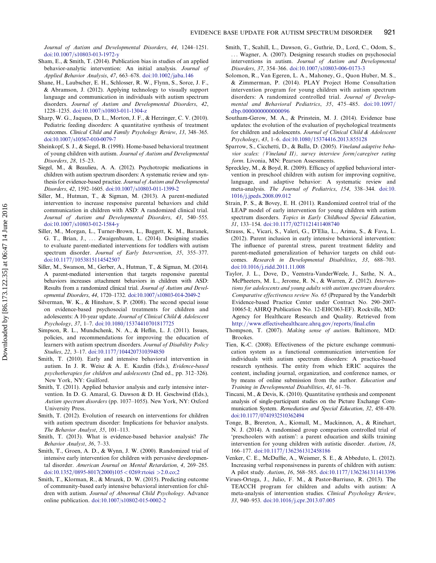<span id="page-25-0"></span>Journal of Autism and Developmental Disorders, 44, 1244–1251. [doi:10.1007](http://dx.doi.org/10.1007/s10803-013-1972-y)/[s10803-013-1972-y](http://dx.doi.org/10.1007/s10803-013-1972-y)

- Sham, E., & Smith, T. (2014). Publication bias in studies of an applied behavior-analytic intervention: An initial analysis. Journal of Applied Behavior Analysis,  $47, 663-678$ . [doi:10.1002](http://dx.doi.org/10.1002/jaba.146)/[jaba.146](http://dx.doi.org/10.1002/jaba.146)
- Shane, H., Laubscher, E. H., Schlosser, R. W., Flynn, S., Sorce, J. F., & Abramson, J. (2012). Applying technology to visually support language and communication in individuals with autism spectrum disorders. Journal of Autism and Developmental Disorders, 42, 1228–1235. [doi:10.1007/s10803-011-1304-z](http://dx.doi.org/10.1007/s10803-011-1304-z)
- Sharp, W. G., Jaquess, D. L., Morton, J. F., & Herzinger, C. V. (2010). Pediatric feeding disorders: A quantitative synthesis of treatment outcomes. Clinical Child and Family Psychology Review, 13, 348–365. [doi:10.1007](http://dx.doi.org/10.1007/s10567-010-0079-7)/[s10567-010-0079-7](http://dx.doi.org/10.1007/s10567-010-0079-7)
- Sheinkopf, S. J., & Siegel, B. (1998). Home-based behavioral treatment of young children with autism. Journal of Autism and Developmental Disorders, 28, 15–23.
- Siegel, M., & Beaulieu, A. A. (2012). Psychotropic medications in children with autism spectrum disorders: A systematic review and synthesis for evidence-based practice. Journal of Autism and Developmental Disorders, 42, 1592-1605. [doi:10.1007](http://dx.doi.org/10.1007/s10803-011-1399-2)/[s10803-011-1399-2](http://dx.doi.org/10.1007/s10803-011-1399-2)
- Siller, M., Hutman, T., & Sigman, M. (2013). A parent-mediated intervention to increase responsive parental behaviors and child communication in children with ASD: A randomized clinical trial. Journal of Autism and Developmental Disorders, 43, 540–555. [doi:10.1007](http://dx.doi.org/10.1007/s10803-012-1584-y)/[s10803-012-1584-y](http://dx.doi.org/10.1007/s10803-012-1584-y)
- Siller, M., Morgan, L., Turner-Brown, L., Baggett, K. M., Baranek, G. T., Brian, J., ... Zwaigenbaum, L. (2014). Designing studies to evaluate parent-mediated interventions for toddlers with autism spectrum disorder. Journal of Early Intervention, 35, 355-377. [doi:10.1177](http://dx.doi.org/10.1177/1053815114542507)/[1053815114542507](http://dx.doi.org/10.1177/1053815114542507)
- Siller, M., Swanson, M., Gerber, A., Hutman, T., & Sigman, M. (2014). A parent-mediated intervention that targets responsive parental behaviors increases attachment behaviors in children with ASD: Results from a randomized clinical trial. Journal of Autism and Developmental Disorders, 44, 1720-1732. [doi:10.1007](http://dx.doi.org/10.1007/s10803-014-2049-2)/[s10803-014-2049-2](http://dx.doi.org/10.1007/s10803-014-2049-2)
- Silverman, W. K., & Hinshaw, S. P. (2008). The second special issue on evidence-based psychosocial treatments for children and adolescents: A 10-year update. Journal of Clinical Child & Adolescent Psychology, 37, 1-7. [doi:10.1080](http://dx.doi.org/10.1080/15374410701817725)/[15374410701817725](http://dx.doi.org/10.1080/15374410701817725)
- Simpson, R. L., Mundschenk, N. A., & Heflin, L. J. (2011). Issues, policies, and recommendations for improving the education of learners with autism spectrum disorders. Journal of Disability Policy Studies, 22, 3-17. [doi:10.1177](http://dx.doi.org/10.1177/1044207310394850)/[1044207310394850](http://dx.doi.org/10.1177/1044207310394850)
- Smith, T. (2010). Early and intensive behavioral intervention in autism. In J. R. Weisz & A. E. Kazdin (Eds.), Evidence-based psychotherapies for children and adolescents (2nd ed., pp. 312–326). New York, NY: Guilford.
- Smith, T. (2011). Applied behavior analysis and early intensive intervention. In D. G. Amaral, G. Dawson & D. H. Geschwind (Eds.), Autism spectrum disorders (pp. 1037–1055). New York, NY: Oxford University Press.
- Smith, T. (2012). Evolution of research on interventions for children with autism spectrum disorder: Implications for behavior analysts. The Behavior Analyst, 35, 101–113.
- Smith, T. (2013). What is evidence-based behavior analysis? The Behavior Analyst, 36, 7–33.
- Smith, T., Groen, A. D., & Wynn, J. W. (2000). Randomized trial of intensive early intervention for children with pervasive developmental disorder. American Journal on Mental Retardation, 4, 269–285. [doi:10.1352](http://dx.doi.org/10.1352/0895-8017(2000)105 < 0269:rtoiei >2.0.co;2)/[0895-8017\(2000\)105](http://dx.doi.org/10.1352/0895-8017(2000)105 < 0269:rtoiei >2.0.co;2) < [0269:rtoiei](http://dx.doi.org/10.1352/0895-8017(2000)105 < 0269:rtoiei >2.0.co;2) >[2.0.co;2](http://dx.doi.org/10.1352/0895-8017(2000)105 < 0269:rtoiei >2.0.co;2)
- Smith, T., Klorman, R., & Mruzek, D. W. (2015). Predicting outcome of community-based early intensive behavioral intervention for children with autism. Journal of Abnormal Child Psychology. Advance online publication. [doi:10.1007/s10802-015-0002-2](http://dx.doi.org/10.1007/s10802-015-0002-2)
- Smith, T., Scahill, L., Dawson, G., Guthrie, D., Lord, C., Odom, S., ... Wagner, A. (2007). Designing research studies on psychosocial interventions in autism. Journal of Autism and Developmental Disorders, 37, 354-366. [doi:10.1007](http://dx.doi.org/10.1007/s10803-006-0173-3)/[s10803-006-0173-3](http://dx.doi.org/10.1007/s10803-006-0173-3)
- Solomon, R., Van Egeren, L. A., Mahoney, G., Quon Huber, M. S., & Zimmerman, P. (2014). PLAY Project Home Consultation intervention program for young children with autism spectrum disorders: A randomized controlled trial. Journal of Developmental and Behavioral Pediatrics, 35, 475-485. [doi:10.1097](http://dx.doi.org/10.1097/dbp.0000000000000096)/ [dbp.0000000000000096](http://dx.doi.org/10.1097/dbp.0000000000000096)
- Southam-Gerow, M. A., & Prinstein, M. J. (2014). Evidence base updates: the evolution of the evaluation of psychological treatments for children and adolescents. Journal of Clinical Child & Adolescent  $Psychology, 43, 1–6. \text{doi: } 10.1080/15374416.2013.855128$  $Psychology, 43, 1–6. \text{doi: } 10.1080/15374416.2013.855128$
- Sparrow, S., Cicchetti, D., & Balla, D. (2005). Vineland adaptive behavior scales: (Vineland II), survey interview form/caregiver rating form. Livonia, MN: Pearson Assessments.
- Spreckley, M., & Boyd, R. (2009). Efficacy of applied behavioral intervention in preschool children with autism for improving cognitive, language, and adaptive behavior: A systematic review and meta-analysis. The Journal of Pediatrics, 154, 338–344. [doi:10.](http://dx.doi.org/10.1016/j.jpeds.2008.09.012) [1016](http://dx.doi.org/10.1016/j.jpeds.2008.09.012)/[j.jpeds.2008.09.012](http://dx.doi.org/10.1016/j.jpeds.2008.09.012)
- Strain, P. S., & Bovey, E. H. (2011). Randomized control trial of the LEAP model of early intervention for young children with autism spectrum disorders. Topics in Early Childhood Special Education, 31, 133-154. [doi:10.1177](http://dx.doi.org/10.1177/0271121411408740)/[0271121411408740](http://dx.doi.org/10.1177/0271121411408740)
- Strauss, K., Vicari, S., Valeri, G., D'Elia, L., Arima, S., & Fava, L. (2012). Parent inclusion in early intensive behavioral intervention: The influence of parental stress, parent treatment fidelity and parent-mediated generalization of behavior targets on child outcomes. Research in Developmental Disabilities, 33, 688–703. [doi:10.1016](http://dx.doi.org/10.1016/j.ridd.2011.11.008)/[j.ridd.2011.11.008](http://dx.doi.org/10.1016/j.ridd.2011.11.008)
- Taylor, J. L., Dove, D., Veenstra-VanderWeele, J., Sathe, N. A., McPheeters, M. L., Jerome, R. N., & Warren, Z. (2012). Interventions for adolescents and young adults with autism spectrum disorders. Comparative effectiveness review No. 65 (Prepared by the Vanderbilt Evidence-based Practice Center under Contract No. 290–2007- 10065-I; AHRQ Publication No. 12-EHC063-EF). Rockville, MD: Agency for Healthcare Research and Quality. Retrieved from <http://www.effectivehealthcare.ahrq.gov/reports/final.cfm>
- Thompson, T. (2007). Making sense of autism. Baltimore, MD: Brookes.
- Tien, K-C. (2008). Effectiveness of the picture exchange communication system as a functional communication intervention for individuals with autism spectrum disorders: A practice-based research synthesis. The entity from which ERIC acquires the content, including journal, organization, and conference names, or by means of online submission from the author. Education and Training in Developmental Disabilities, 43, 61–76.
- Tincani, M., & Devis, K. (2010). Quantitative synthesis and component analysis of single-participant studies on the Picture Exchange Communication System. Remediation and Special Education, 32, 458–470. [doi:10.1177](http://dx.doi.org/10.1177/0741932510362494)/[0741932510362494](http://dx.doi.org/10.1177/0741932510362494)
- Tonge, B., Brereton, A., Kiomall, M., Mackinnon, A., & Rinehart, N. J. (2014). A randomised group comparison controlled trial of 'preschoolers with autism': a parent education and skills training intervention for young children with autistic disorder. Autism, 18, 166–177. [doi:10.1177](http://dx.doi.org/10.1177/1362361312458186)/[1362361312458186](http://dx.doi.org/10.1177/1362361312458186)
- Venker, C. E., McDuffie, A., Weismer, S. E., & Abbeduto, L. (2012). Increasing verbal responsiveness in parents of children with autism: A pilot study. Autism, 16, 568-585. [doi:10.1177](http://dx.doi.org/10.1177/1362361311413396)/[1362361311413396](http://dx.doi.org/10.1177/1362361311413396)
- Virues-Ortega, J., Julio, F. M., & Pastor-Barriuso, R. (2013). The TEACCH program for children and adults with autism: A meta-analysis of intervention studies. Clinical Psychology Review, 33, 940-953. [doi:10.1016](http://dx.doi.org/10.1016/j.cpr.2013.07.005)/[j.cpr.2013.07.005](http://dx.doi.org/10.1016/j.cpr.2013.07.005)